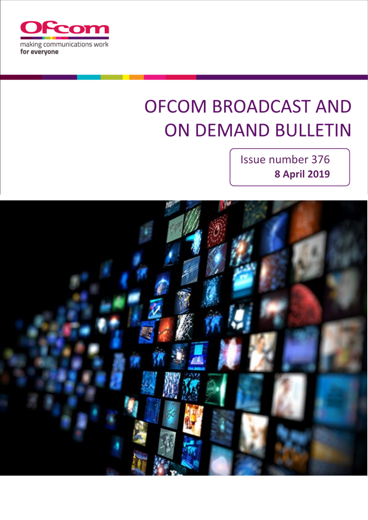

# **OFCOM BROADCAST AND ON DEMAND BULLETIN**

Issue number 376 **8 April 2019**

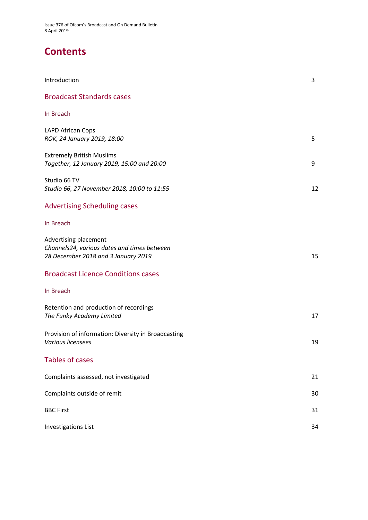Issue 376 of Ofcom's Broadcast and On Demand Bulletin 8 April 2019

## **Contents**

| Introduction                                                                                                | 3  |
|-------------------------------------------------------------------------------------------------------------|----|
| <b>Broadcast Standards cases</b>                                                                            |    |
| In Breach                                                                                                   |    |
| <b>LAPD African Cops</b><br>ROK, 24 January 2019, 18:00                                                     | 5  |
| <b>Extremely British Muslims</b><br>Together, 12 January 2019, 15:00 and 20:00                              | 9  |
| Studio 66 TV<br>Studio 66, 27 November 2018, 10:00 to 11:55                                                 | 12 |
| <b>Advertising Scheduling cases</b>                                                                         |    |
| In Breach                                                                                                   |    |
| Advertising placement<br>Channels24, various dates and times between<br>28 December 2018 and 3 January 2019 | 15 |
| <b>Broadcast Licence Conditions cases</b>                                                                   |    |
| In Breach                                                                                                   |    |
| Retention and production of recordings<br>The Funky Academy Limited                                         | 17 |
| Provision of information: Diversity in Broadcasting<br>Various licensees                                    | 19 |
| <b>Tables of cases</b>                                                                                      |    |
| Complaints assessed, not investigated                                                                       | 21 |
| Complaints outside of remit                                                                                 | 30 |
| <b>BBC First</b>                                                                                            | 31 |
| <b>Investigations List</b>                                                                                  | 34 |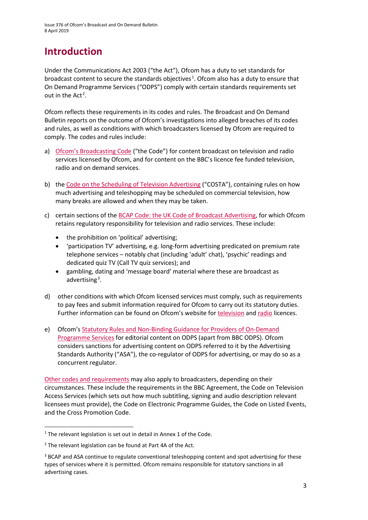# **Introduction**

Under the Communications Act 2003 ("the Act"), Ofcom has a duty to set standards for broadcast content to secure the standards objectives<sup>[1](#page-2-0)</sup>. Ofcom also has a duty to ensure that On Demand Programme Services ("ODPS") comply with certain standards requirements set out in the Act<sup>[2](#page-2-1)</sup>.

Ofcom reflects these requirements in its codes and rules. The Broadcast and On Demand Bulletin reports on the outcome of Ofcom's investigations into alleged breaches of its codes and rules, as well as conditions with which broadcasters licensed by Ofcom are required to comply. The codes and rules include:

- a) [Ofcom's Broadcasting Code](http://stakeholders.ofcom.org.uk/broadcasting/broadcast-codes/broadcast-code/) ("the Code") for content broadcast on television and radio services licensed by Ofcom, and for content on the BBC's licence fee funded television, radio and on demand services.
- b) the [Code on the Scheduling of Television Advertising](https://www.ofcom.org.uk/__data/assets/pdf_file/0014/32162/costa-april-2016.pdf) ("COSTA"), containing rules on how much advertising and teleshopping may be scheduled on commercial television, how many breaks are allowed and when they may be taken.
- c) certain sections of the [BCAP Code: the UK Code of Broadcast Advertising,](https://www.asa.org.uk/codes-and-rulings/advertising-codes/broadcast-code.html) for which Ofcom retains regulatory responsibility for television and radio services. These include:
	- the prohibition on 'political' advertising;
	- 'participation TV' advertising, e.g. long-form advertising predicated on premium rate telephone services – notably chat (including 'adult' chat), 'psychic' readings and dedicated quiz TV (Call TV quiz services); and
	- gambling, dating and 'message board' material where these are broadcast as advertising<sup>[3](#page-2-2)</sup>.
- d) other conditions with which Ofcom licensed services must comply, such as requirements to pay fees and submit information required for Ofcom to carry out its statutory duties. Further information can be found on Ofcom's website for [television](http://licensing.ofcom.org.uk/tv-broadcast-licences/) and [radio](http://licensing.ofcom.org.uk/radio-broadcast-licensing/) licences.
- e) Ofcom'[s Statutory Rules and Non-Binding Guidance for Providers of On-Demand](http://stakeholders.ofcom.org.uk/binaries/broadcast/on-demand/rules-guidance/rules_and_guidance.pdf)  [Programme Services](http://stakeholders.ofcom.org.uk/binaries/broadcast/on-demand/rules-guidance/rules_and_guidance.pdf) for editorial content on ODPS (apart from BBC ODPS). Ofcom considers sanctions for advertising content on ODPS referred to it by the Advertising Standards Authority ("ASA"), the co-regulator of ODPS for advertising, or may do so as a concurrent regulator.

[Other codes and requirements](http://stakeholders.ofcom.org.uk/broadcasting/broadcast-codes/) may also apply to broadcasters, depending on their circumstances. These include the requirements in the BBC Agreement, the Code on Television Access Services (which sets out how much subtitling, signing and audio description relevant licensees must provide), the Code on Electronic Programme Guides, the Code on Listed Events, and the Cross Promotion Code.

<span id="page-2-0"></span><sup>&</sup>lt;sup>1</sup> The relevant legislation is set out in detail in Annex 1 of the Code.

<span id="page-2-1"></span> $2$  The relevant legislation can be found at Part 4A of the Act.

<span id="page-2-2"></span><sup>&</sup>lt;sup>3</sup> BCAP and ASA continue to regulate conventional teleshopping content and spot advertising for these types of services where it is permitted. Ofcom remains responsible for statutory sanctions in all advertising cases.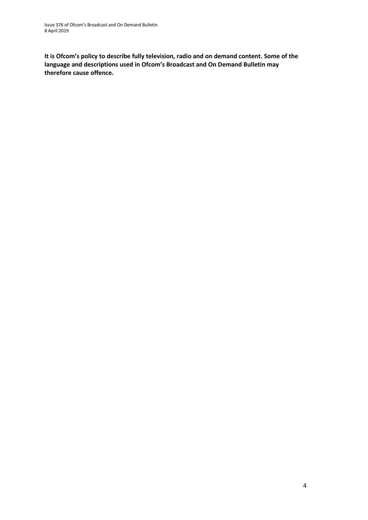**It is Ofcom's policy to describe fully television, radio and on demand content. Some of the language and descriptions used in Ofcom's Broadcast and On Demand Bulletin may therefore cause offence.**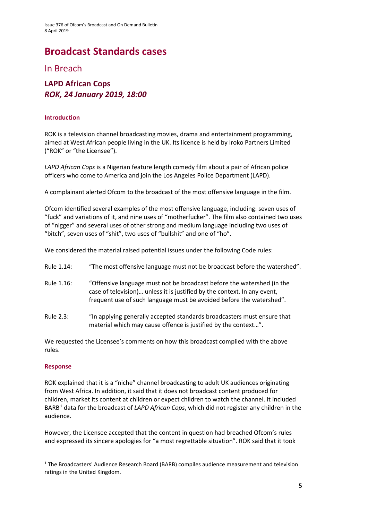# **Broadcast Standards cases**

In Breach

### **LAPD African Cops** *ROK, 24 January 2019, 18:00*

#### **Introduction**

ROK is a television channel broadcasting movies, drama and entertainment programming, aimed at West African people living in the UK. Its licence is held b[y Iroko Partners Limited](javascript:srcUp(%27%2F0015800000FEebH%3Fisdtp%3Dvw%27);) ("ROK" or "the Licensee").

*LAPD African Cops* is a Nigerian feature length comedy film about a pair of African police officers who come to America and join the Los Angeles Police Department (LAPD).

A complainant alerted Ofcom to the broadcast of the most offensive language in the film.

Ofcom identified several examples of the most offensive language, including: seven uses of "fuck" and variations of it, and nine uses of "motherfucker". The film also contained two uses of "nigger" and several uses of other strong and medium language including two uses of "bitch", seven uses of "shit", two uses of "bullshit" and one of "ho".

We considered the material raised potential issues under the following Code rules:

- Rule 1.14: "The most offensive language must not be broadcast before the watershed".
- Rule 1.16: "Offensive language must not be broadcast before the watershed (in the case of television)… unless it is justified by the context. In any event, frequent use of such language must be avoided before the watershed".
- Rule 2.3: "In applying generally accepted standards broadcasters must ensure that material which may cause offence is justified by the context…".

We requested the Licensee's comments on how this broadcast complied with the above rules.

### **Response**

ROK explained that it is a "niche" channel broadcasting to adult UK audiences originating from West Africa. In addition, it said that it does not broadcast content produced for children, market its content at children or expect children to watch the channel. It included BARB[1](#page-4-0) data for the broadcast of *LAPD African Cops*, which did not register any children in the audience.

However, the Licensee accepted that the content in question had breached Ofcom's rules and expressed its sincere apologies for "a most regrettable situation". ROK said that it took

<span id="page-4-0"></span><sup>&</sup>lt;sup>1</sup> The Broadcasters' Audience Research Board (BARB) compiles audience measurement and television ratings in the United Kingdom.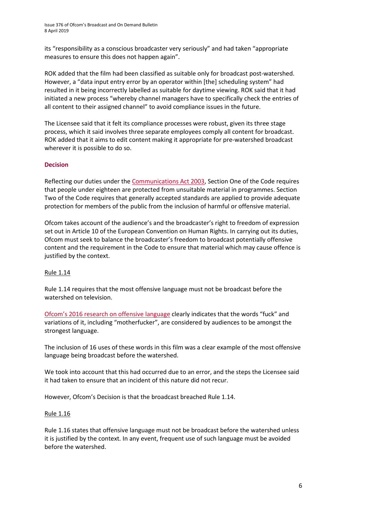its "responsibility as a conscious broadcaster very seriously" and had taken "appropriate measures to ensure this does not happen again".

ROK added that the film had been classified as suitable only for broadcast post-watershed. However, a "data input entry error by an operator within [the] scheduling system" had resulted in it being incorrectly labelled as suitable for daytime viewing. ROK said that it had initiated a new process "whereby channel managers have to specifically check the entries of all content to their assigned channel" to avoid compliance issues in the future.

The Licensee said that it felt its compliance processes were robust, given its three stage process, which it said involves three separate employees comply all content for broadcast. ROK added that it aims to edit content making it appropriate for pre-watershed broadcast wherever it is possible to do so.

### **Decision**

Reflecting our duties under th[e Communications Act 2003,](http://www.legislation.gov.uk/ukpga/2003/21/section/319) Section One of the Code requires that people under eighteen are protected from unsuitable material in programmes. Section Two of the Code requires that generally accepted standards are applied to provide adequate protection for members of the public from the inclusion of harmful or offensive material.

Ofcom takes account of the audience's and the broadcaster's right to freedom of expression set out in Article 10 of the European Convention on Human Rights. In carrying out its duties, Ofcom must seek to balance the broadcaster's freedom to broadcast potentially offensive content and the requirement in the Code to ensure that material which may cause offence is justified by the context.

### Rule 1.14

Rule 1.14 requires that the most offensive language must not be broadcast before the watershed on television.

[Ofcom's 2016 research on offensive language](https://www.ofcom.org.uk/__data/assets/pdf_file/0022/91624/OfcomOffensiveLanguage.pdf) clearly indicates that the words "fuck" and variations of it, including "motherfucker", are considered by audiences to be amongst the strongest language.

The inclusion of 16 uses of these words in this film was a clear example of the most offensive language being broadcast before the watershed.

We took into account that this had occurred due to an error, and the steps the Licensee said it had taken to ensure that an incident of this nature did not recur.

However, Ofcom's Decision is that the broadcast breached Rule 1.14.

#### Rule 1.16

Rule 1.16 states that offensive language must not be broadcast before the watershed unless it is justified by the context. In any event, frequent use of such language must be avoided before the watershed.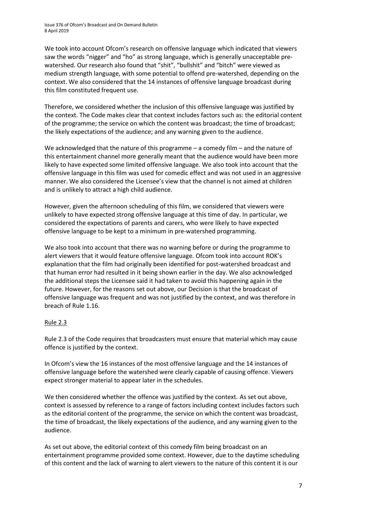We took into account Ofcom's research on offensive language which indicated that viewers saw the words "nigger" and "ho" as strong language, which is generally unacceptable prewatershed. Our research also found that "shit", "bullshit" and "bitch" were viewed as medium strength language, with some potential to offend pre-watershed, depending on the context. We also considered that the 14 instances of offensive language broadcast during this film constituted frequent use.

Therefore, we considered whether the inclusion of this offensive language was justified by the context. The Code makes clear that context includes factors such as: the editorial content of the programme; the service on which the content was broadcast; the time of broadcast; the likely expectations of the audience; and any warning given to the audience.

We acknowledged that the nature of this programme – a comedy film – and the nature of this entertainment channel more generally meant that the audience would have been more likely to have expected some limited offensive language. We also took into account that the offensive language in this film was used for comedic effect and was not used in an aggressive manner. We also considered the Licensee's view that the channel is not aimed at children and is unlikely to attract a high child audience.

However, given the afternoon scheduling of this film, we considered that viewers were unlikely to have expected strong offensive language at this time of day. In particular, we considered the expectations of parents and carers, who were likely to have expected offensive language to be kept to a minimum in pre-watershed programming.

We also took into account that there was no warning before or during the programme to alert viewers that it would feature offensive language. Ofcom took into account ROK's explanation that the film had originally been identified for post-watershed broadcast and that human error had resulted in it being shown earlier in the day. We also acknowledged the additional steps the Licensee said it had taken to avoid this happening again in the future. However, for the reasons set out above, our Decision is that the broadcast of offensive language was frequent and was not justified by the context, and was therefore in breach of Rule 1.16.

### Rule 2.3

Rule 2.3 of the Code requires that broadcasters must ensure that material which may cause offence is justified by the context.

In Ofcom's view the 16 instances of the most offensive language and the 14 instances of offensive language before the watershed were clearly capable of causing offence. Viewers expect stronger material to appear later in the schedules.

We then considered whether the offence was justified by the context. As set out above, context is assessed by reference to a range of factors including context includes factors such as the editorial content of the programme, the service on which the content was broadcast, the time of broadcast, the likely expectations of the audience, and any warning given to the audience.

As set out above, the editorial context of this comedy film being broadcast on an entertainment programme provided some context. However, due to the daytime scheduling of this content and the lack of warning to alert viewers to the nature of this content it is our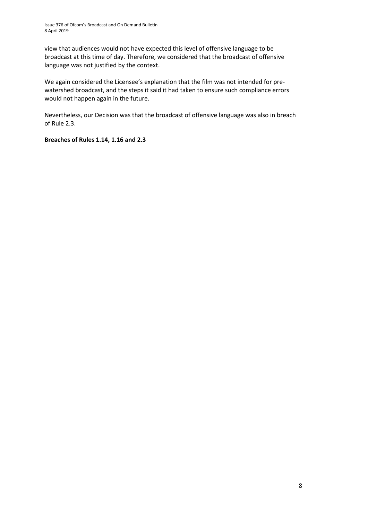view that audiences would not have expected this level of offensive language to be broadcast at this time of day. Therefore, we considered that the broadcast of offensive language was not justified by the context.

We again considered the Licensee's explanation that the film was not intended for prewatershed broadcast, and the steps it said it had taken to ensure such compliance errors would not happen again in the future.

Nevertheless, our Decision was that the broadcast of offensive language was also in breach of Rule 2.3.

**Breaches of Rules 1.14, 1.16 and 2.3**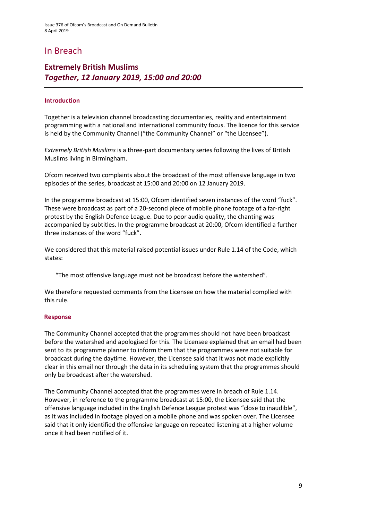### In Breach

### **Extremely British Muslims**  *Together, 12 January 2019, 15:00 and 20:00*

#### **Introduction**

Together is a television channel broadcasting documentaries, reality and entertainment programming with a national and international community focus. The licence for this service is held by the Community Channel ("the Community Channel" or "the Licensee").

*Extremely British Muslims* is a three-part documentary series following the lives of British Muslims living in Birmingham.

Ofcom received two complaints about the broadcast of the most offensive language in two episodes of the series, broadcast at 15:00 and 20:00 on 12 January 2019.

In the programme broadcast at 15:00, Ofcom identified seven instances of the word "fuck". These were broadcast as part of a 20-second piece of mobile phone footage of a far-right protest by the English Defence League. Due to poor audio quality, the chanting was accompanied by subtitles. In the programme broadcast at 20:00, Ofcom identified a further three instances of the word "fuck".

We considered that this material raised potential issues under Rule 1.14 of the Code, which states:

"The most offensive language must not be broadcast before the watershed".

We therefore requested comments from the Licensee on how the material complied with this rule.

#### **Response**

The Community Channel accepted that the programmes should not have been broadcast before the watershed and apologised for this. The Licensee explained that an email had been sent to its programme planner to inform them that the programmes were not suitable for broadcast during the daytime. However, the Licensee said that it was not made explicitly clear in this email nor through the data in its scheduling system that the programmes should only be broadcast after the watershed.

The Community Channel accepted that the programmes were in breach of Rule 1.14. However, in reference to the programme broadcast at 15:00, the Licensee said that the offensive language included in the English Defence League protest was "close to inaudible", as it was included in footage played on a mobile phone and was spoken over. The Licensee said that it only identified the offensive language on repeated listening at a higher volume once it had been notified of it.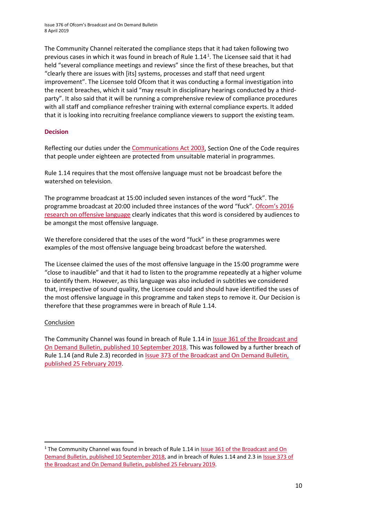The Community Channel reiterated the compliance steps that it had taken following two previous cases in which it was found in breach of Rule [1](#page-9-0).14<sup>1</sup>. The Licensee said that it had held "several compliance meetings and reviews" since the first of these breaches, but that "clearly there are issues with [its] systems, processes and staff that need urgent improvement". The Licensee told Ofcom that it was conducting a formal investigation into the recent breaches, which it said "may result in disciplinary hearings conducted by a thirdparty". It also said that it will be running a comprehensive review of compliance procedures with all staff and compliance refresher training with external compliance experts. It added that it is looking into recruiting freelance compliance viewers to support the existing team.

### **Decision**

Reflecting our duties under th[e Communications Act 2003,](http://www.legislation.gov.uk/ukpga/2003/21/section/319) Section One of the Code requires that people under eighteen are protected from unsuitable material in programmes.

Rule 1.14 requires that the most offensive language must not be broadcast before the watershed on television.

The programme broadcast at 15:00 included seven instances of the word "fuck". The programme broadcast at 20:00 included three instances of the word "fuck". [Ofcom's 2016](https://www.ofcom.org.uk/__data/assets/pdf_file/0022/91624/OfcomOffensiveLanguage.pdf)  [research on offensive language](https://www.ofcom.org.uk/__data/assets/pdf_file/0022/91624/OfcomOffensiveLanguage.pdf) clearly indicates that this word is considered by audiences to be amongst the most offensive language.

We therefore considered that the uses of the word "fuck" in these programmes were examples of the most offensive language being broadcast before the watershed.

The Licensee claimed the uses of the most offensive language in the 15:00 programme were "close to inaudible" and that it had to listen to the programme repeatedly at a higher volume to identify them. However, as this language was also included in subtitles we considered that, irrespective of sound quality, the Licensee could and should have identified the uses of the most offensive language in this programme and taken steps to remove it. Our Decision is therefore that these programmes were in breach of Rule 1.14.

### Conclusion

The Community Channel was found in breach of Rule 1.14 in [Issue 361 of the Broadcast and](https://www.ofcom.org.uk/__data/assets/pdf_file/0037/119998/issue-361-ofcom-broadcast-on-demand-bulletin.pdf)  On Demand [Bulletin, published 10 September 2018.](https://www.ofcom.org.uk/__data/assets/pdf_file/0037/119998/issue-361-ofcom-broadcast-on-demand-bulletin.pdf) This was followed by a further breach of Rule 1.14 (and Rule 2.3) recorded in [Issue 373 of the Broadcast and On Demand Bulletin,](https://www.ofcom.org.uk/__data/assets/pdf_file/0030/138648/Issue-373-Broadcast-and-On-Demand-Bulletin-25-February-2019.pdf)  [published 25 February 2019.](https://www.ofcom.org.uk/__data/assets/pdf_file/0030/138648/Issue-373-Broadcast-and-On-Demand-Bulletin-25-February-2019.pdf)

<span id="page-9-0"></span><sup>&</sup>lt;sup>1</sup> The Community Channel was found in breach of Rule 1.14 in **Issue 361 of the Broadcast and On** [Demand Bulletin, published 10 September 2018,](https://www.ofcom.org.uk/__data/assets/pdf_file/0037/119998/issue-361-ofcom-broadcast-on-demand-bulletin.pdf) and in breach of Rules 1.14 and 2.3 i[n Issue 373 of](https://www.ofcom.org.uk/__data/assets/pdf_file/0030/138648/Issue-373-Broadcast-and-On-Demand-Bulletin-25-February-2019.pdf)  [the Broadcast and On Demand Bulletin, published 25 February 2019.](https://www.ofcom.org.uk/__data/assets/pdf_file/0030/138648/Issue-373-Broadcast-and-On-Demand-Bulletin-25-February-2019.pdf)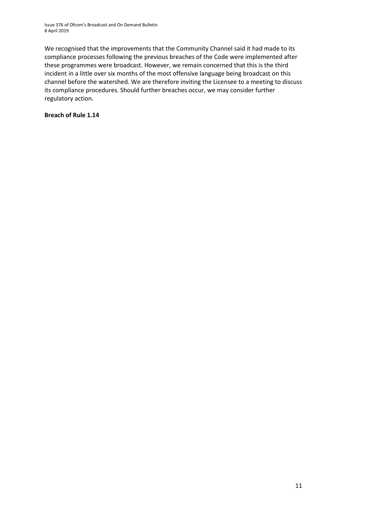Issue 376 of Ofcom's Broadcast and On Demand Bulletin 8 April 2019

We recognised that the improvements that the Community Channel said it had made to its compliance processes following the previous breaches of the Code were implemented after these programmes were broadcast. However, we remain concerned that this is the third incident in a little over six months of the most offensive language being broadcast on this channel before the watershed. We are therefore inviting the Licensee to a meeting to discuss its compliance procedures. Should further breaches occur, we may consider further regulatory action.

#### **Breach of Rule 1.14**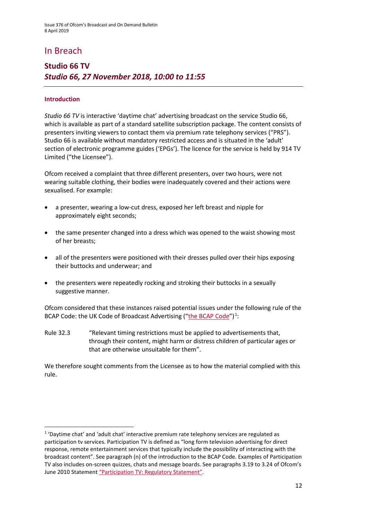### In Breach

### **Studio 66 TV** *Studio 66, 27 November 2018, 10:00 to 11:55*

#### **Introduction**

*Studio 66 TV* is interactive 'daytime chat' advertising broadcast on the service Studio 66, which is available as part of a standard satellite subscription package. The content consists of presenters inviting viewers to contact them via premium rate telephony services ("PRS"). Studio 66 is available without mandatory restricted access and is situated in the 'adult' section of electronic programme guides ('EPGs'). The licence for the service is held by 914 TV Limited ("the Licensee").

Ofcom received a complaint that three different presenters, over two hours, were not wearing suitable clothing, their bodies were inadequately covered and their actions were sexualised. For example:

- a presenter, wearing a low-cut dress, exposed her left breast and nipple for approximately eight seconds;
- the same presenter changed into a dress which was opened to the waist showing most of her breasts;
- all of the presenters were positioned with their dresses pulled over their hips exposing their buttocks and underwear; and
- the presenters were repeatedly rocking and stroking their buttocks in a sexually suggestive manner.

Ofcom considered that these instances raised potential issues under the following rule of the BCAP Code: the UK Code of Broadcast Advertising (["the BCAP Code"](https://www.asa.org.uk/uploads/assets/uploaded/d34f6bcf-d281-4eba-bcf0fa76297f5779.pdf))<sup>[1](#page-11-0)</sup>:

Rule 32.3 "Relevant timing restrictions must be applied to advertisements that, through their content, might harm or distress children of particular ages or that are otherwise unsuitable for them".

We therefore sought comments from the Licensee as to how the material complied with this rule.

<span id="page-11-0"></span> $1$  'Daytime chat' and 'adult chat' interactive premium rate telephony services are regulated as participation tv services. Participation TV is defined as "long form television advertising for direct response, remote entertainment services that typically include the possibility of interacting with the broadcast content". See paragraph (n) of the introduction to the BCAP Code. Examples of Participation TV also includes on-screen quizzes, chats and message boards. See paragraphs 3.19 to 3.24 of Ofcom's June 2010 Statemen[t "Participation TV: Regulatory Statement".](https://www.ofcom.org.uk/consultations-and-statements/category-1/participationtv3)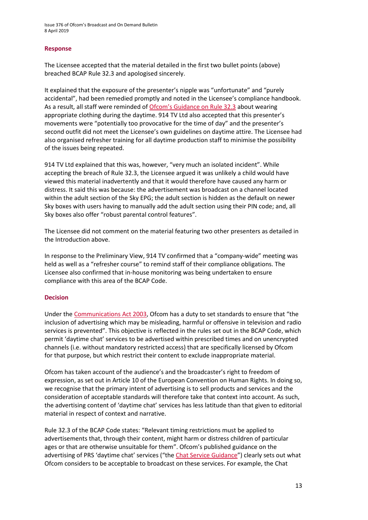Issue 376 of Ofcom's Broadcast and On Demand Bulletin 8 April 2019

#### **Response**

The Licensee accepted that the material detailed in the first two bullet points (above) breached BCAP Rule 32.3 and apologised sincerely.

It explained that the exposure of the presenter's nipple was "unfortunate" and "purely accidental", had been remedied promptly and noted in the Licensee's compliance handbook. As a result, all staff were reminded o[f Ofcom's Guidance on Rule 32.3](https://www.ofcom.org.uk/__data/assets/pdf_file/0012/24060/bcap-guidance.pdf) about wearing appropriate clothing during the daytime. 914 TV Ltd also accepted that this presenter's movements were "potentially too provocative for the time of day" and the presenter's second outfit did not meet the Licensee's own guidelines on daytime attire. The Licensee had also organised refresher training for all daytime production staff to minimise the possibility of the issues being repeated.

914 TV Ltd explained that this was, however, "very much an isolated incident". While accepting the breach of Rule 32.3, the Licensee argued it was unlikely a child would have viewed this material inadvertently and that it would therefore have caused any harm or distress. It said this was because: the advertisement was broadcast on a channel located within the adult section of the Sky EPG; the adult section is hidden as the default on newer Sky boxes with users having to manually add the adult section using their PIN code; and, all Sky boxes also offer "robust parental control features".

The Licensee did not comment on the material featuring two other presenters as detailed in the Introduction above.

In response to the Preliminary View, 914 TV confirmed that a "company-wide" meeting was held as well as a "refresher course" to remind staff of their compliance obligations. The Licensee also confirmed that in-house monitoring was being undertaken to ensure compliance with this area of the BCAP Code.

#### **Decision**

Under the [Communications Act 2003,](http://www.legislation.gov.uk/ukpga/2003/21/section/319) Ofcom has a duty to set standards to ensure that "the inclusion of advertising which may be misleading, harmful or offensive in television and radio services is prevented". This objective is reflected in the rules set out in the BCAP Code, which permit 'daytime chat' services to be advertised within prescribed times and on unencrypted channels (i.e. without mandatory restricted access) that are specifically licensed by Ofcom for that purpose, but which restrict their content to exclude inappropriate material.

Ofcom has taken account of the audience's and the broadcaster's right to freedom of expression, as set out in Article 10 of the European Convention on Human Rights. In doing so, we recognise that the primary intent of advertising is to sell products and services and the consideration of acceptable standards will therefore take that context into account. As such, the advertising content of 'daytime chat' services has less latitude than that given to editorial material in respect of context and narrative.

Rule 32.3 of the BCAP Code states: "Relevant timing restrictions must be applied to advertisements that, through their content, might harm or distress children of particular ages or that are otherwise unsuitable for them". Ofcom's published guidance on the advertising of PRS 'daytime chat' services ("the [Chat Service Guidance"](https://www.ofcom.org.uk/__data/assets/pdf_file/0012/24060/bcap-guidance.pdf)) clearly sets out what Ofcom considers to be acceptable to broadcast on these services. For example, the Chat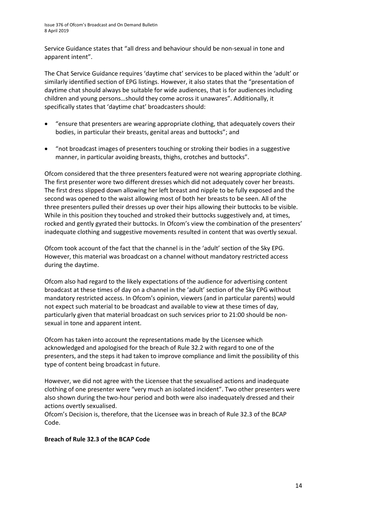Service Guidance states that "all dress and behaviour should be non-sexual in tone and apparent intent".

The Chat Service Guidance requires 'daytime chat' services to be placed within the 'adult' or similarly identified section of EPG listings. However, it also states that the "presentation of daytime chat should always be suitable for wide audiences, that is for audiences including children and young persons…should they come across it unawares". Additionally, it specifically states that 'daytime chat' broadcasters should:

- "ensure that presenters are wearing appropriate clothing, that adequately covers their bodies, in particular their breasts, genital areas and buttocks"; and
- "not broadcast images of presenters touching or stroking their bodies in a suggestive manner, in particular avoiding breasts, thighs, crotches and buttocks".

Ofcom considered that the three presenters featured were not wearing appropriate clothing. The first presenter wore two different dresses which did not adequately cover her breasts. The first dress slipped down allowing her left breast and nipple to be fully exposed and the second was opened to the waist allowing most of both her breasts to be seen. All of the three presenters pulled their dresses up over their hips allowing their buttocks to be visible. While in this position they touched and stroked their buttocks suggestively and, at times, rocked and gently gyrated their buttocks. In Ofcom's view the combination of the presenters' inadequate clothing and suggestive movements resulted in content that was overtly sexual.

Ofcom took account of the fact that the channel is in the 'adult' section of the Sky EPG. However, this material was broadcast on a channel without mandatory restricted access during the daytime.

Ofcom also had regard to the likely expectations of the audience for advertising content broadcast at these times of day on a channel in the 'adult' section of the Sky EPG without mandatory restricted access. In Ofcom's opinion, viewers (and in particular parents) would not expect such material to be broadcast and available to view at these times of day, particularly given that material broadcast on such services prior to 21:00 should be nonsexual in tone and apparent intent.

Ofcom has taken into account the representations made by the Licensee which acknowledged and apologised for the breach of Rule 32.2 with regard to one of the presenters, and the steps it had taken to improve compliance and limit the possibility of this type of content being broadcast in future.

However, we did not agree with the Licensee that the sexualised actions and inadequate clothing of one presenter were "very much an isolated incident". Two other presenters were also shown during the two-hour period and both were also inadequately dressed and their actions overtly sexualised.

Ofcom's Decision is, therefore, that the Licensee was in breach of Rule 32.3 of the BCAP Code.

### **Breach of Rule 32.3 of the BCAP Code**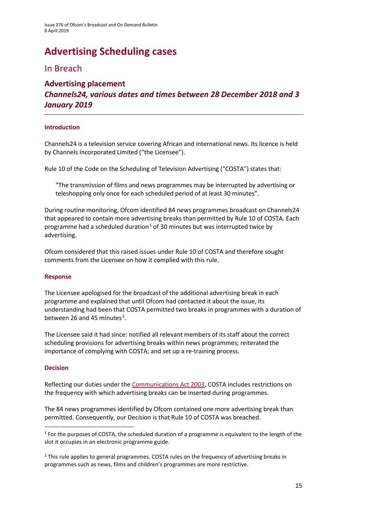# **Advertising Scheduling cases**

### In Breach

### **Advertising placement** *Channels24, various dates and times between 28 December 2018 and 3 January 2019*

### **Introduction**

Channels24 is a television service covering African and international news. Its licence is held by Channels Incorporated Limited ("the Licensee").

Rule 10 of the Code on the Scheduling of Television Advertising ("COSTA") states that:

"The transmission of films and news programmes may be interrupted by advertising or teleshopping only once for each scheduled period of at least 30 minutes".

During routine monitoring, Ofcom identified 84 news programmes broadcast on Channels24 that appeared to contain more advertising breaks than permitted by Rule 10 of COSTA. Each programme had a scheduled duration<sup>[1](#page-14-0)</sup> of 30 minutes but was interrupted twice by advertising.

Ofcom considered that this raised issues under Rule 10 of COSTA and therefore sought comments from the Licensee on how it complied with this rule.

### **Response**

The Licensee apologised for the broadcast of the additional advertising break in each programme and explained that until Ofcom had contacted it about the issue, its understanding had been that COSTA permitted two breaks in programmes with a duration of between [2](#page-14-1)6 and 45 minutes<sup>2</sup>.

The Licensee said it had since: notified all relevant members of its staff about the correct scheduling provisions for advertising breaks within news programmes; reiterated the importance of complying with COSTA; and set up a re-training process.

#### **Decision**

Reflecting our duties under th[e Communications Act 2003,](http://www.legislation.gov.uk/ukpga/2003/21/section/322) COSTA includes restrictions on the frequency with which advertising breaks can be inserted during programmes.

The 84 news programmes identified by Ofcom contained one more advertising break than permitted. Consequently, our Decision is that Rule 10 of COSTA was breached.

<span id="page-14-0"></span> $1$  For the purposes of COSTA, the scheduled duration of a programme is equivalent to the length of the slot it occupies in an electronic programme guide.

<span id="page-14-1"></span><sup>&</sup>lt;sup>2</sup> This rule applies to general programmes. COSTA rules on the frequency of advertising breaks in programmes such as news, films and children's programmes are more restrictive.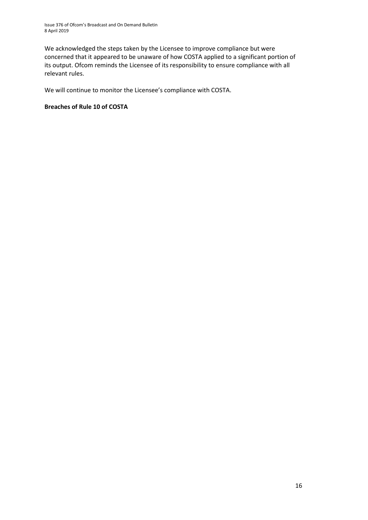Issue 376 of Ofcom's Broadcast and On Demand Bulletin 8 April 2019

We acknowledged the steps taken by the Licensee to improve compliance but were concerned that it appeared to be unaware of how COSTA applied to a significant portion of its output. Ofcom reminds the Licensee of its responsibility to ensure compliance with all relevant rules.

We will continue to monitor the Licensee's compliance with COSTA.

### **Breaches of Rule 10 of COSTA**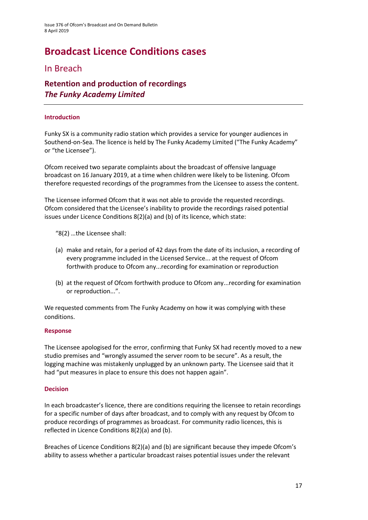# **Broadcast Licence Conditions cases**

### In Breach

### **Retention and production of recordings**  *The Funky Academy Limited*

### **Introduction**

Funky SX is a community radio station which provides a service for younger audiences in Southend-on-Sea. The licence is held by The Funky Academy Limited ("The Funky Academy" or "the Licensee").

Ofcom received two separate complaints about the broadcast of offensive language broadcast on 16 January 2019, at a time when children were likely to be listening. Ofcom therefore requested recordings of the programmes from the Licensee to assess the content.

The Licensee informed Ofcom that it was not able to provide the requested recordings. Ofcom considered that the Licensee's inability to provide the recordings raised potential issues under Licence Conditions 8(2)(a) and (b) of its licence, which state:

- "8(2) …the Licensee shall:
- (a) make and retain, for a period of 42 days from the date of its inclusion, a recording of every programme included in the Licensed Service... at the request of Ofcom forthwith produce to Ofcom any...recording for examination or reproduction
- (b) at the request of Ofcom forthwith produce to Ofcom any...recording for examination or reproduction...".

We requested comments from The Funky Academy on how it was complying with these conditions.

### **Response**

The Licensee apologised for the error, confirming that Funky SX had recently moved to a new studio premises and "wrongly assumed the server room to be secure". As a result, the logging machine was mistakenly unplugged by an unknown party. The Licensee said that it had "put measures in place to ensure this does not happen again".

### **Decision**

In each broadcaster's licence, there are conditions requiring the licensee to retain recordings for a specific number of days after broadcast, and to comply with any request by Ofcom to produce recordings of programmes as broadcast. For community radio licences, this is reflected in Licence Conditions 8(2)(a) and (b).

Breaches of Licence Conditions 8(2)(a) and (b) are significant because they impede Ofcom's ability to assess whether a particular broadcast raises potential issues under the relevant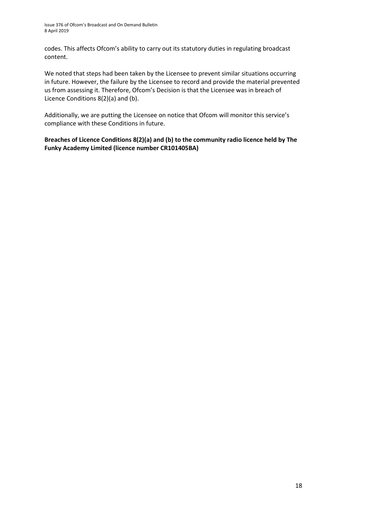codes. This affects Ofcom's ability to carry out its statutory duties in regulating broadcast content.

We noted that steps had been taken by the Licensee to prevent similar situations occurring in future. However, the failure by the Licensee to record and provide the material prevented us from assessing it. Therefore, Ofcom's Decision is that the Licensee was in breach of Licence Conditions 8(2)(a) and (b).

Additionally, we are putting the Licensee on notice that Ofcom will monitor this service's compliance with these Conditions in future.

**Breaches of Licence Conditions 8(2)(a) and (b) to the community radio licence held by The Funky Academy Limited (licence number CR101405BA)**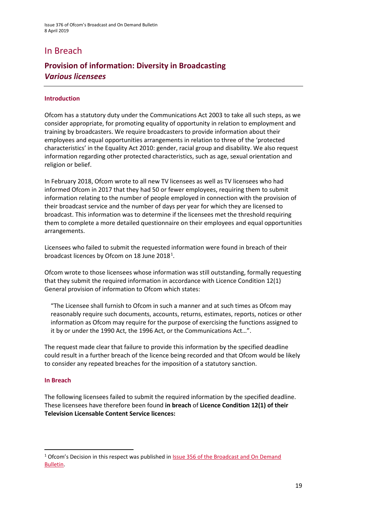### In Breach

### **Provision of information: Diversity in Broadcasting**  *Various licensees*

#### **Introduction**

Ofcom has a statutory duty under the Communications Act 2003 to take all such steps, as we consider appropriate, for promoting equality of opportunity in relation to employment and training by broadcasters. We require broadcasters to provide information about their employees and equal opportunities arrangements in relation to three of the 'protected characteristics' in the Equality Act 2010: gender, racial group and disability. We also request information regarding other protected characteristics, such as age, sexual orientation and religion or belief.

In February 2018, Ofcom wrote to all new TV licensees as well as TV licensees who had informed Ofcom in 2017 that they had 50 or fewer employees, requiring them to submit information relating to the number of people employed in connection with the provision of their broadcast service and the number of days per year for which they are licensed to broadcast. This information was to determine if the licensees met the threshold requiring them to complete a more detailed questionnaire on their employees and equal opportunities arrangements.

Licensees who failed to submit the requested information were found in breach of their broadcast licences by Ofcom on [1](#page-18-0)8 June 2018 $^1$ .

Ofcom wrote to those licensees whose information was still outstanding, formally requesting that they submit the required information in accordance with Licence Condition 12(1) General provision of information to Ofcom which states:

"The Licensee shall furnish to Ofcom in such a manner and at such times as Ofcom may reasonably require such documents, accounts, returns, estimates, reports, notices or other information as Ofcom may require for the purpose of exercising the functions assigned to it by or under the 1990 Act, the 1996 Act, or the Communications Act…".

The request made clear that failure to provide this information by the specified deadline could result in a further breach of the licence being recorded and that Ofcom would be likely to consider any repeated breaches for the imposition of a statutory sanction.

#### **In Breach**

The following licensees failed to submit the required information by the specified deadline. These licensees have therefore been found **in breach** of **Licence Condition 12(1) of their Television Licensable Content Service licences:**

<span id="page-18-0"></span><sup>&</sup>lt;sup>1</sup> Ofcom's Decision in this respect was published in **Issue 356 of the Broadcast and On Demand** [Bulletin.](https://www.ofcom.org.uk/__data/assets/pdf_file/0017/115046/issue-356-broadcast-on-demand-bulletin.pdf)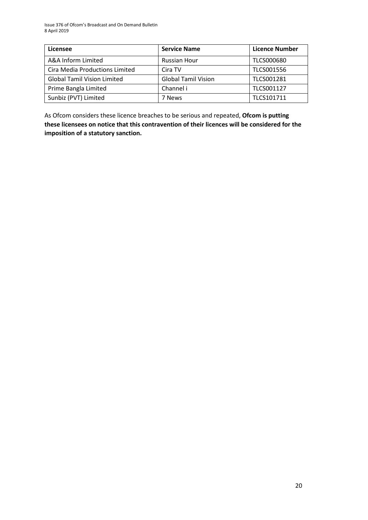| Licensee                           | <b>Service Name</b>        | <b>Licence Number</b> |
|------------------------------------|----------------------------|-----------------------|
| A&A Inform Limited                 | Russian Hour               | <b>TLCS000680</b>     |
| Cira Media Productions Limited     | Cira TV                    | <b>TLCS001556</b>     |
| <b>Global Tamil Vision Limited</b> | <b>Global Tamil Vision</b> | TLCS001281            |
| Prime Bangla Limited               | Channel i                  | TLCS001127            |
| Sunbiz (PVT) Limited               | 7 News                     | TLCS101711            |

As Ofcom considers these licence breaches to be serious and repeated, **Ofcom is putting these licensees on notice that this contravention of their licences will be considered for the imposition of a statutory sanction.**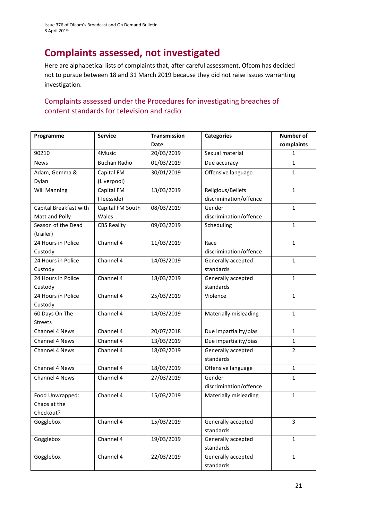# **Complaints assessed, not investigated**

Here are alphabetical lists of complaints that, after careful assessment, Ofcom has decided not to pursue between 18 and 31 March 2019 because they did not raise issues warranting investigation.

### Complaints assessed under the Procedures for investigating breaches of content standards for television and radio

| Programme              | <b>Service</b>      | <b>Transmission</b> | <b>Categories</b>      | <b>Number of</b> |
|------------------------|---------------------|---------------------|------------------------|------------------|
|                        |                     | <b>Date</b>         |                        | complaints       |
| 90210                  | 4Music              | 20/03/2019          | Sexual material        | $\mathbf{1}$     |
| <b>News</b>            | <b>Buchan Radio</b> | 01/03/2019          | Due accuracy           | $\mathbf{1}$     |
| Adam, Gemma &          | Capital FM          | 30/01/2019          | Offensive language     | $\mathbf{1}$     |
| Dylan                  | (Liverpool)         |                     |                        |                  |
| <b>Will Manning</b>    | Capital FM          | 13/03/2019          | Religious/Beliefs      | $\mathbf{1}$     |
|                        | (Teesside)          |                     | discrimination/offence |                  |
| Capital Breakfast with | Capital FM South    | 08/03/2019          | Gender                 | $\mathbf{1}$     |
| Matt and Polly         | Wales               |                     | discrimination/offence |                  |
| Season of the Dead     | <b>CBS Reality</b>  | 09/03/2019          | Scheduling             | $\mathbf{1}$     |
| (trailer)              |                     |                     |                        |                  |
| 24 Hours in Police     | Channel 4           | 11/03/2019          | Race                   | $\mathbf{1}$     |
| Custody                |                     |                     | discrimination/offence |                  |
| 24 Hours in Police     | Channel 4           | 14/03/2019          | Generally accepted     | $\mathbf{1}$     |
| Custody                |                     |                     | standards              |                  |
| 24 Hours in Police     | Channel 4           | 18/03/2019          | Generally accepted     | $\mathbf{1}$     |
| Custody                |                     |                     | standards              |                  |
| 24 Hours in Police     | Channel 4           | 25/03/2019          | Violence               | $\mathbf{1}$     |
| Custody                |                     |                     |                        |                  |
| 60 Days On The         | Channel 4           | 14/03/2019          | Materially misleading  | $\mathbf{1}$     |
| <b>Streets</b>         |                     |                     |                        |                  |
| Channel 4 News         | Channel 4           | 20/07/2018          | Due impartiality/bias  | $\mathbf{1}$     |
| Channel 4 News         | Channel 4           | 13/03/2019          | Due impartiality/bias  | $\mathbf{1}$     |
| Channel 4 News         | Channel 4           | 18/03/2019          | Generally accepted     | $\overline{2}$   |
|                        |                     |                     | standards              |                  |
| Channel 4 News         | Channel 4           | 18/03/2019          | Offensive language     | $\mathbf{1}$     |
| Channel 4 News         | Channel 4           | 27/03/2019          | Gender                 | $\mathbf{1}$     |
|                        |                     |                     | discrimination/offence |                  |
| Food Unwrapped:        | Channel 4           | 15/03/2019          | Materially misleading  | $\mathbf{1}$     |
| Chaos at the           |                     |                     |                        |                  |
| Checkout?              |                     |                     |                        |                  |
| Gogglebox              | Channel 4           | 15/03/2019          | Generally accepted     | 3                |
|                        |                     |                     | standards              |                  |
| Gogglebox              | Channel 4           | 19/03/2019          | Generally accepted     | $\mathbf{1}$     |
|                        |                     |                     | standards              |                  |
| Gogglebox              | Channel 4           | 22/03/2019          | Generally accepted     | $\mathbf{1}$     |
|                        |                     |                     | standards              |                  |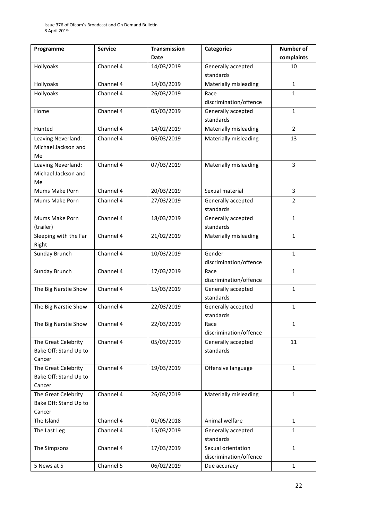| Programme             | <b>Service</b> | <b>Transmission</b> | <b>Categories</b>               | Number of      |
|-----------------------|----------------|---------------------|---------------------------------|----------------|
|                       |                | <b>Date</b>         |                                 | complaints     |
| Hollyoaks             | Channel 4      | 14/03/2019          | Generally accepted              | 10             |
|                       |                |                     | standards                       |                |
| Hollyoaks             | Channel 4      | 14/03/2019          | Materially misleading           | $\mathbf{1}$   |
| Hollyoaks             | Channel 4      | 26/03/2019          | Race                            | $\mathbf{1}$   |
|                       |                |                     | discrimination/offence          |                |
| Home                  | Channel 4      | 05/03/2019          | Generally accepted              | $\mathbf{1}$   |
|                       |                |                     | standards                       |                |
| Hunted                | Channel 4      | 14/02/2019          | Materially misleading           | $\overline{2}$ |
| Leaving Neverland:    | Channel 4      | 06/03/2019          | Materially misleading           | 13             |
| Michael Jackson and   |                |                     |                                 |                |
| Me                    |                |                     |                                 |                |
| Leaving Neverland:    | Channel 4      | 07/03/2019          | Materially misleading           | 3              |
| Michael Jackson and   |                |                     |                                 |                |
| Me                    |                |                     |                                 |                |
| Mums Make Porn        | Channel 4      | 20/03/2019          | Sexual material                 | 3              |
| Mums Make Porn        | Channel 4      | 27/03/2019          | Generally accepted              | $\overline{2}$ |
|                       |                |                     | standards                       |                |
| Mums Make Porn        | Channel 4      | 18/03/2019          | Generally accepted              | $\mathbf{1}$   |
| (trailer)             |                |                     | standards                       |                |
| Sleeping with the Far | Channel 4      | 21/02/2019          | Materially misleading           | $\mathbf{1}$   |
| Right                 |                |                     |                                 |                |
| Sunday Brunch         | Channel 4      | 10/03/2019          | Gender                          | $\mathbf{1}$   |
|                       |                |                     | discrimination/offence          |                |
| Sunday Brunch         | Channel 4      | 17/03/2019          | Race                            | 1              |
| The Big Narstie Show  | Channel 4      |                     | discrimination/offence          | 1              |
|                       |                | 15/03/2019          | Generally accepted<br>standards |                |
| The Big Narstie Show  | Channel 4      | 22/03/2019          | Generally accepted              | $\mathbf{1}$   |
|                       |                |                     | standards                       |                |
| The Big Narstie Show  | Channel 4      | 22/03/2019          | Race                            | $\mathbf{1}$   |
|                       |                |                     | discrimination/offence          |                |
| The Great Celebrity   | Channel 4      | 05/03/2019          | Generally accepted              | 11             |
| Bake Off: Stand Up to |                |                     | standards                       |                |
| Cancer                |                |                     |                                 |                |
| The Great Celebrity   | Channel 4      | 19/03/2019          | Offensive language              | $\mathbf{1}$   |
| Bake Off: Stand Up to |                |                     |                                 |                |
| Cancer                |                |                     |                                 |                |
| The Great Celebrity   | Channel 4      | 26/03/2019          | Materially misleading           | $\mathbf{1}$   |
| Bake Off: Stand Up to |                |                     |                                 |                |
| Cancer                |                |                     |                                 |                |
| The Island            | Channel 4      | 01/05/2018          | Animal welfare                  | $\mathbf{1}$   |
| The Last Leg          | Channel 4      | 15/03/2019          | Generally accepted              | $\mathbf{1}$   |
|                       |                |                     | standards                       |                |
| The Simpsons          | Channel 4      | 17/03/2019          | Sexual orientation              | $\mathbf{1}$   |
|                       |                |                     | discrimination/offence          |                |
| 5 News at 5           | Channel 5      | 06/02/2019          | Due accuracy                    | $\mathbf{1}$   |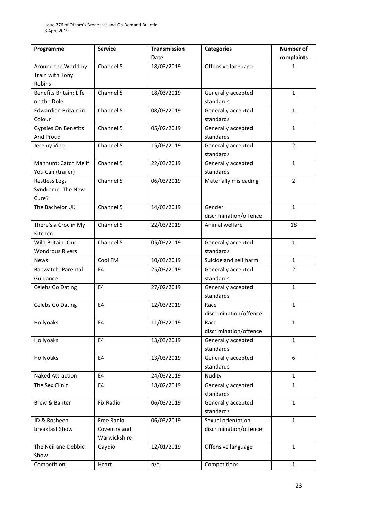| Programme                  | <b>Service</b> | <b>Transmission</b> | <b>Categories</b>      | <b>Number of</b> |
|----------------------------|----------------|---------------------|------------------------|------------------|
|                            |                | <b>Date</b>         |                        | complaints       |
| Around the World by        | Channel 5      | 18/03/2019          | Offensive language     | 1                |
| Train with Tony            |                |                     |                        |                  |
| Robins                     |                |                     |                        |                  |
| Benefits Britain: Life     | Channel 5      | 18/03/2019          | Generally accepted     | $\mathbf{1}$     |
| on the Dole                |                |                     | standards              |                  |
| Edwardian Britain in       | Channel 5      | 08/03/2019          | Generally accepted     | $\mathbf{1}$     |
| Colour                     |                |                     | standards              |                  |
| <b>Gypsies On Benefits</b> | Channel 5      | 05/02/2019          | Generally accepted     | $\mathbf{1}$     |
| And Proud                  |                |                     | standards              |                  |
| Jeremy Vine                | Channel 5      | 15/03/2019          | Generally accepted     | $\overline{2}$   |
|                            |                |                     | standards              |                  |
| Manhunt: Catch Me If       | Channel 5      | 22/03/2019          | Generally accepted     | $\mathbf{1}$     |
| You Can (trailer)          |                |                     | standards              |                  |
| <b>Restless Legs</b>       | Channel 5      | 06/03/2019          | Materially misleading  | $\overline{2}$   |
| Syndrome: The New          |                |                     |                        |                  |
| Cure?                      |                |                     |                        |                  |
| The Bachelor UK            | Channel 5      | 14/03/2019          | Gender                 | $\mathbf{1}$     |
|                            |                |                     | discrimination/offence |                  |
| There's a Croc in My       | Channel 5      | 22/03/2019          | Animal welfare         | 18               |
| Kitchen                    |                |                     |                        |                  |
| Wild Britain: Our          | Channel 5      | 05/03/2019          | Generally accepted     | 1                |
| <b>Wondrous Rivers</b>     |                |                     | standards              |                  |
| <b>News</b>                | Cool FM        | 10/03/2019          | Suicide and self harm  | $\mathbf{1}$     |
| Baewatch: Parental         | E <sub>4</sub> | 25/03/2019          | Generally accepted     | 2                |
| Guidance                   |                |                     | standards              |                  |
| Celebs Go Dating           | E <sub>4</sub> | 27/02/2019          | Generally accepted     | $\mathbf{1}$     |
|                            |                |                     | standards              |                  |
| Celebs Go Dating           | E4             | 12/03/2019          | Race                   | 1                |
|                            |                |                     | discrimination/offence |                  |
| Hollyoaks                  | E4             | 11/03/2019          | Race                   | 1                |
|                            |                |                     | discrimination/offence |                  |
| Hollyoaks                  | E4             | 13/03/2019          | Generally accepted     | $\mathbf{1}$     |
|                            |                |                     | standards              |                  |
| Hollyoaks                  | E4             | 13/03/2019          | Generally accepted     | 6                |
|                            |                |                     | standards              |                  |
| Naked Attraction           | E4             | 24/03/2019          | Nudity                 | $\mathbf{1}$     |
| The Sex Clinic             | E <sub>4</sub> | 18/02/2019          | Generally accepted     | 1                |
|                            |                |                     | standards              |                  |
| Brew & Banter              | Fix Radio      | 06/03/2019          | Generally accepted     | $\mathbf{1}$     |
|                            |                |                     | standards              |                  |
| JD & Rosheen               | Free Radio     | 06/03/2019          | Sexual orientation     | $\mathbf{1}$     |
| breakfast Show             | Coventry and   |                     | discrimination/offence |                  |
|                            | Warwickshire   |                     |                        |                  |
| The Neil and Debbie        | Gaydio         | 12/01/2019          | Offensive language     | 1                |
| Show                       |                |                     |                        |                  |
| Competition                | Heart          | n/a                 | Competitions           | $\mathbf{1}$     |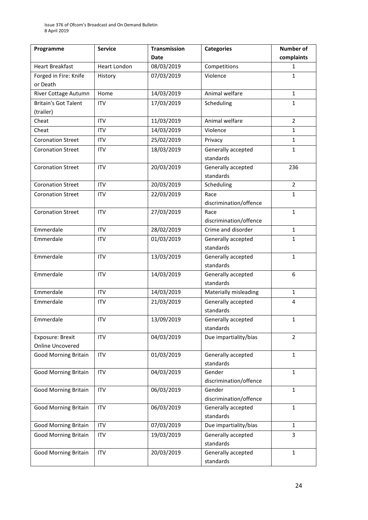| Programme                   | <b>Service</b>      | <b>Transmission</b> | <b>Categories</b>                            | <b>Number of</b> |
|-----------------------------|---------------------|---------------------|----------------------------------------------|------------------|
|                             |                     | <b>Date</b>         |                                              | complaints       |
| <b>Heart Breakfast</b>      | <b>Heart London</b> | 08/03/2019          | Competitions                                 | $\mathbf{1}$     |
| Forged in Fire: Knife       | History             | 07/03/2019          | Violence                                     | $\mathbf{1}$     |
| or Death                    |                     |                     |                                              |                  |
| River Cottage Autumn        | Home                | 14/03/2019          | Animal welfare                               | $\mathbf{1}$     |
| <b>Britain's Got Talent</b> | <b>ITV</b>          | 17/03/2019          | Scheduling                                   | $\mathbf{1}$     |
| (trailer)                   |                     |                     |                                              |                  |
| Cheat                       | <b>ITV</b>          | 11/03/2019          | Animal welfare                               | $\overline{2}$   |
| Cheat                       | <b>ITV</b>          | 14/03/2019          | Violence                                     | $\mathbf{1}$     |
| <b>Coronation Street</b>    | <b>ITV</b>          | 25/02/2019          | Privacy                                      | $\mathbf{1}$     |
| <b>Coronation Street</b>    | <b>ITV</b>          | 18/03/2019          | Generally accepted                           | $\mathbf{1}$     |
|                             |                     |                     | standards                                    |                  |
| <b>Coronation Street</b>    | <b>ITV</b>          | 20/03/2019          | Generally accepted                           | 236              |
|                             |                     |                     | standards                                    |                  |
| <b>Coronation Street</b>    | <b>ITV</b>          | 20/03/2019          | Scheduling                                   | $\overline{2}$   |
| <b>Coronation Street</b>    | <b>ITV</b>          | 22/03/2019          | Race                                         | $\mathbf{1}$     |
|                             |                     |                     | discrimination/offence                       |                  |
| <b>Coronation Street</b>    | <b>ITV</b>          | 27/03/2019          | Race                                         | $\mathbf{1}$     |
| Emmerdale                   | <b>ITV</b>          |                     | discrimination/offence<br>Crime and disorder | $\mathbf{1}$     |
|                             |                     | 28/02/2019          |                                              | $\mathbf{1}$     |
| Emmerdale                   | <b>ITV</b>          | 01/03/2019          | Generally accepted<br>standards              |                  |
| Emmerdale                   | <b>ITV</b>          | 13/03/2019          | Generally accepted                           | $\mathbf{1}$     |
|                             |                     |                     | standards                                    |                  |
| Emmerdale                   | <b>ITV</b>          | 14/03/2019          | Generally accepted                           | 6                |
|                             |                     |                     | standards                                    |                  |
| Emmerdale                   | <b>ITV</b>          | 14/03/2019          | Materially misleading                        | $\mathbf{1}$     |
| Emmerdale                   | <b>ITV</b>          | 21/03/2019          | Generally accepted                           | 4                |
|                             |                     |                     | standards                                    |                  |
| Emmerdale                   | ITV                 | 13/09/2019          | Generally accepted                           | $\mathbf{1}$     |
|                             |                     |                     | standards                                    |                  |
| Exposure: Brexit            | <b>ITV</b>          | 04/03/2019          | Due impartiality/bias                        | $\overline{2}$   |
| <b>Online Uncovered</b>     |                     |                     |                                              |                  |
| <b>Good Morning Britain</b> | <b>ITV</b>          | 01/03/2019          | Generally accepted                           | $\mathbf{1}$     |
|                             |                     |                     | standards                                    |                  |
| <b>Good Morning Britain</b> | <b>ITV</b>          | 04/03/2019          | Gender                                       | $\mathbf{1}$     |
|                             |                     |                     | discrimination/offence                       |                  |
| Good Morning Britain        | <b>ITV</b>          | 06/03/2019          | Gender<br>discrimination/offence             | $\mathbf{1}$     |
| <b>Good Morning Britain</b> | <b>ITV</b>          | 06/03/2019          | Generally accepted                           | 1                |
|                             |                     |                     | standards                                    |                  |
| Good Morning Britain        | <b>ITV</b>          | 07/03/2019          | Due impartiality/bias                        | $\mathbf{1}$     |
| <b>Good Morning Britain</b> | ITV                 | 19/03/2019          | Generally accepted                           | 3                |
|                             |                     |                     | standards                                    |                  |
| <b>Good Morning Britain</b> | ITV                 | 20/03/2019          | Generally accepted                           | $\mathbf{1}$     |
|                             |                     |                     | standards                                    |                  |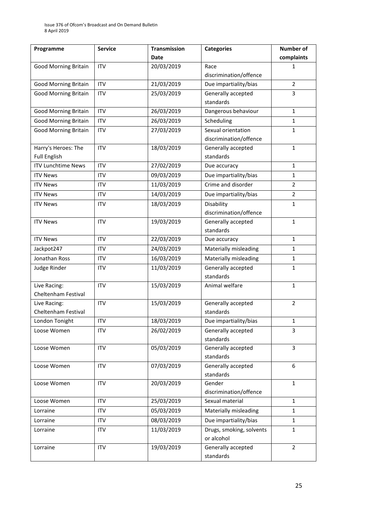| Programme                   | <b>Service</b> | <b>Transmission</b> | <b>Categories</b>                      | <b>Number of</b> |
|-----------------------------|----------------|---------------------|----------------------------------------|------------------|
|                             |                | <b>Date</b>         |                                        | complaints       |
| <b>Good Morning Britain</b> | <b>ITV</b>     | 20/03/2019          | Race                                   | 1                |
|                             |                |                     | discrimination/offence                 |                  |
| <b>Good Morning Britain</b> | <b>ITV</b>     | 21/03/2019          | Due impartiality/bias                  | $\overline{2}$   |
| <b>Good Morning Britain</b> | <b>ITV</b>     | 25/03/2019          | Generally accepted                     | 3                |
|                             |                |                     | standards                              |                  |
| <b>Good Morning Britain</b> | <b>ITV</b>     | 26/03/2019          | Dangerous behaviour                    | 1                |
| <b>Good Morning Britain</b> | <b>ITV</b>     | 26/03/2019          | Scheduling                             | $\mathbf{1}$     |
| <b>Good Morning Britain</b> | <b>ITV</b>     | 27/03/2019          | Sexual orientation                     | 1                |
|                             |                |                     | discrimination/offence                 |                  |
| Harry's Heroes: The         | <b>ITV</b>     | 18/03/2019          | Generally accepted                     | $\mathbf{1}$     |
| <b>Full English</b>         |                |                     | standards                              |                  |
| <b>ITV Lunchtime News</b>   | <b>ITV</b>     | 27/02/2019          | Due accuracy                           | $\mathbf{1}$     |
| <b>ITV News</b>             | <b>ITV</b>     | 09/03/2019          | Due impartiality/bias                  | $\mathbf{1}$     |
| <b>ITV News</b>             | <b>ITV</b>     | 11/03/2019          | Crime and disorder                     | $\overline{2}$   |
| <b>ITV News</b>             | <b>ITV</b>     | 14/03/2019          | Due impartiality/bias                  | $\overline{2}$   |
| <b>ITV News</b>             | <b>ITV</b>     | 18/03/2019          | Disability                             | 1                |
|                             |                |                     | discrimination/offence                 |                  |
| <b>ITV News</b>             | <b>ITV</b>     | 19/03/2019          | Generally accepted                     | $\mathbf{1}$     |
|                             |                |                     | standards                              |                  |
| <b>ITV News</b>             | <b>ITV</b>     | 22/03/2019          | Due accuracy                           | $\mathbf{1}$     |
| Jackpot247                  | <b>ITV</b>     | 24/03/2019          | Materially misleading                  | $\mathbf{1}$     |
| Jonathan Ross               | <b>ITV</b>     | 16/03/2019          | Materially misleading                  | $\mathbf{1}$     |
| Judge Rinder                | <b>ITV</b>     | 11/03/2019          | Generally accepted                     | $\mathbf{1}$     |
|                             |                |                     | standards                              |                  |
| Live Racing:                | <b>ITV</b>     | 15/03/2019          | Animal welfare                         | $\mathbf{1}$     |
| Cheltenham Festival         |                |                     |                                        |                  |
| Live Racing:                | <b>ITV</b>     | 15/03/2019          | Generally accepted                     | $\overline{2}$   |
| Cheltenham Festival         |                |                     | standards                              |                  |
| London Tonight              | ITV            | 18/03/2019          | Due impartiality/bias                  | 1                |
| Loose Women                 | <b>ITV</b>     | 26/02/2019          | Generally accepted                     | 3                |
|                             |                |                     | standards                              |                  |
| Loose Women                 | <b>ITV</b>     | 05/03/2019          | Generally accepted                     | 3                |
|                             |                |                     | standards                              |                  |
| Loose Women                 | <b>ITV</b>     | 07/03/2019          | Generally accepted                     | 6                |
| Loose Women                 | <b>ITV</b>     | 20/03/2019          | standards<br>Gender                    | $\mathbf{1}$     |
|                             |                |                     | discrimination/offence                 |                  |
| Loose Women                 | <b>ITV</b>     | 25/03/2019          | Sexual material                        | $\mathbf{1}$     |
| Lorraine                    | <b>ITV</b>     | 05/03/2019          | Materially misleading                  | $\mathbf{1}$     |
|                             |                |                     |                                        |                  |
| Lorraine                    | <b>ITV</b>     | 08/03/2019          | Due impartiality/bias                  | $\mathbf{1}$     |
| Lorraine                    | <b>ITV</b>     | 11/03/2019          | Drugs, smoking, solvents<br>or alcohol | 1                |
| Lorraine                    | <b>ITV</b>     | 19/03/2019          | Generally accepted                     | $\overline{2}$   |
|                             |                |                     | standards                              |                  |
|                             |                |                     |                                        |                  |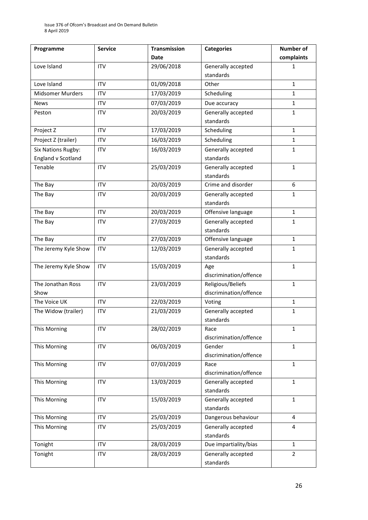| Programme                 | <b>Service</b> | <b>Transmission</b> | <b>Categories</b>      | <b>Number of</b> |
|---------------------------|----------------|---------------------|------------------------|------------------|
|                           |                | <b>Date</b>         |                        | complaints       |
| Love Island               | <b>ITV</b>     | 29/06/2018          | Generally accepted     | 1                |
|                           |                |                     | standards              |                  |
| Love Island               | <b>ITV</b>     | 01/09/2018          | Other                  | $\mathbf{1}$     |
| <b>Midsomer Murders</b>   | <b>ITV</b>     | 17/03/2019          | Scheduling             | $\mathbf{1}$     |
| <b>News</b>               | <b>ITV</b>     | 07/03/2019          | Due accuracy           | $\mathbf{1}$     |
| Peston                    | <b>ITV</b>     | 20/03/2019          | Generally accepted     | 1                |
|                           |                |                     | standards              |                  |
| Project Z                 | <b>ITV</b>     | 17/03/2019          | Scheduling             | $\mathbf{1}$     |
| Project Z (trailer)       | <b>ITV</b>     | 16/03/2019          | Scheduling             | $\mathbf{1}$     |
| <b>Six Nations Rugby:</b> | <b>ITV</b>     | 16/03/2019          | Generally accepted     | $\mathbf{1}$     |
| <b>England v Scotland</b> |                |                     | standards              |                  |
| Tenable                   | <b>ITV</b>     | 25/03/2019          | Generally accepted     | $\mathbf{1}$     |
|                           |                |                     | standards              |                  |
| The Bay                   | <b>ITV</b>     | 20/03/2019          | Crime and disorder     | 6                |
| The Bay                   | <b>ITV</b>     | 20/03/2019          | Generally accepted     | $\mathbf{1}$     |
|                           |                |                     | standards              |                  |
| The Bay                   | <b>ITV</b>     | 20/03/2019          | Offensive language     | $\mathbf{1}$     |
| The Bay                   | <b>ITV</b>     | 27/03/2019          | Generally accepted     | $\mathbf{1}$     |
|                           |                |                     | standards              |                  |
| The Bay                   | <b>ITV</b>     | 27/03/2019          | Offensive language     | $\mathbf{1}$     |
| The Jeremy Kyle Show      | <b>ITV</b>     | 12/03/2019          | Generally accepted     | 1                |
|                           |                |                     | standards              |                  |
| The Jeremy Kyle Show      | <b>ITV</b>     | 15/03/2019          | Age                    | $\mathbf{1}$     |
|                           |                |                     | discrimination/offence |                  |
| The Jonathan Ross         | <b>ITV</b>     | 23/03/2019          | Religious/Beliefs      | $\mathbf{1}$     |
| Show                      |                |                     | discrimination/offence |                  |
| The Voice UK              | <b>ITV</b>     | 22/03/2019          | Voting                 | $\mathbf{1}$     |
| The Widow (trailer)       | <b>ITV</b>     | 21/03/2019          | Generally accepted     | 1                |
|                           |                |                     | standards              |                  |
| This Morning              | <b>ITV</b>     | 28/02/2019          | Race                   | 1                |
|                           |                |                     | discrimination/offence |                  |
| This Morning              | <b>ITV</b>     | 06/03/2019          | Gender                 | $\mathbf{1}$     |
|                           |                |                     | discrimination/offence |                  |
| This Morning              | <b>ITV</b>     | 07/03/2019          | Race                   | $\mathbf{1}$     |
|                           |                |                     | discrimination/offence |                  |
| This Morning              | <b>ITV</b>     | 13/03/2019          | Generally accepted     | $\mathbf{1}$     |
|                           |                |                     | standards              |                  |
| This Morning              | <b>ITV</b>     | 15/03/2019          | Generally accepted     | 1                |
|                           |                |                     | standards              |                  |
| This Morning              | <b>ITV</b>     | 25/03/2019          | Dangerous behaviour    | 4                |
| This Morning              | <b>ITV</b>     | 25/03/2019          | Generally accepted     | 4                |
|                           |                |                     | standards              |                  |
| Tonight                   | <b>ITV</b>     | 28/03/2019          | Due impartiality/bias  | $\mathbf{1}$     |
| Tonight                   | <b>ITV</b>     | 28/03/2019          | Generally accepted     | $\overline{2}$   |
|                           |                |                     | standards              |                  |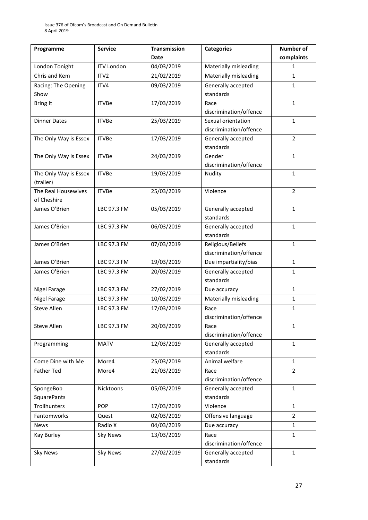| Programme             | <b>Service</b>    | <b>Transmission</b> | <b>Categories</b>               | Number of      |
|-----------------------|-------------------|---------------------|---------------------------------|----------------|
|                       |                   | <b>Date</b>         |                                 | complaints     |
| London Tonight        | <b>ITV London</b> | 04/03/2019          | Materially misleading           | 1              |
| Chris and Kem         | ITV <sub>2</sub>  | 21/02/2019          | Materially misleading           | $\mathbf{1}$   |
| Racing: The Opening   | ITV4              | 09/03/2019          | Generally accepted              | $\mathbf{1}$   |
| Show                  |                   |                     | standards                       |                |
| <b>Bring It</b>       | <b>ITVBe</b>      | 17/03/2019          | Race                            | 1              |
|                       |                   |                     | discrimination/offence          |                |
| <b>Dinner Dates</b>   | <b>ITVBe</b>      | 25/03/2019          | Sexual orientation              | $\mathbf{1}$   |
|                       |                   |                     | discrimination/offence          |                |
| The Only Way is Essex | <b>ITVBe</b>      | 17/03/2019          | Generally accepted              | $\overline{2}$ |
|                       |                   |                     | standards                       |                |
| The Only Way is Essex | <b>ITVBe</b>      | 24/03/2019          | Gender                          | $\mathbf{1}$   |
|                       |                   |                     | discrimination/offence          |                |
| The Only Way is Essex | <b>ITVBe</b>      | 19/03/2019          | Nudity                          | $\mathbf{1}$   |
| (trailer)             |                   |                     |                                 |                |
| The Real Housewives   | <b>ITVBe</b>      | 25/03/2019          | Violence                        | $\overline{2}$ |
| of Cheshire           |                   |                     |                                 |                |
| James O'Brien         | LBC 97.3 FM       | 05/03/2019          | Generally accepted<br>standards | $\mathbf{1}$   |
| James O'Brien         | LBC 97.3 FM       | 06/03/2019          | Generally accepted              | 1              |
|                       |                   |                     | standards                       |                |
| James O'Brien         | LBC 97.3 FM       | 07/03/2019          | Religious/Beliefs               | $\mathbf{1}$   |
|                       |                   |                     | discrimination/offence          |                |
| James O'Brien         | LBC 97.3 FM       | 19/03/2019          | Due impartiality/bias           | $\mathbf{1}$   |
| James O'Brien         | LBC 97.3 FM       | 20/03/2019          | Generally accepted              | 1              |
|                       |                   |                     | standards                       |                |
| Nigel Farage          | LBC 97.3 FM       | 27/02/2019          | Due accuracy                    | $\mathbf{1}$   |
| Nigel Farage          | LBC 97.3 FM       | 10/03/2019          | Materially misleading           | $\mathbf{1}$   |
| <b>Steve Allen</b>    | LBC 97.3 FM       | 17/03/2019          | Race                            | 1              |
|                       |                   |                     | discrimination/offence          |                |
| Steve Allen           | LBC 97.3 FM       | 20/03/2019          | Race                            | $\mathbf{1}$   |
|                       |                   |                     | discrimination/offence          |                |
| Programming           | <b>MATV</b>       | 12/03/2019          | Generally accepted              | $\mathbf{1}$   |
|                       |                   |                     | standards                       |                |
| Come Dine with Me     | More4             | 25/03/2019          | Animal welfare                  | $\mathbf{1}$   |
| <b>Father Ted</b>     | More4             | 21/03/2019          | Race                            | $\overline{2}$ |
|                       |                   |                     | discrimination/offence          |                |
| SpongeBob             | Nicktoons         | 05/03/2019          | Generally accepted              | $\mathbf{1}$   |
| <b>SquarePants</b>    |                   |                     | standards                       |                |
| Trollhunters          | POP               | 17/03/2019          | Violence                        | $\mathbf{1}$   |
| Fantomworks           | Quest             | 02/03/2019          | Offensive language              | $\overline{2}$ |
| News                  | Radio X           | 04/03/2019          | Due accuracy                    | $\mathbf{1}$   |
| Kay Burley            | <b>Sky News</b>   | 13/03/2019          | Race                            | $\mathbf{1}$   |
|                       |                   |                     | discrimination/offence          |                |
| <b>Sky News</b>       | <b>Sky News</b>   | 27/02/2019          | Generally accepted              | $\mathbf{1}$   |
|                       |                   |                     | standards                       |                |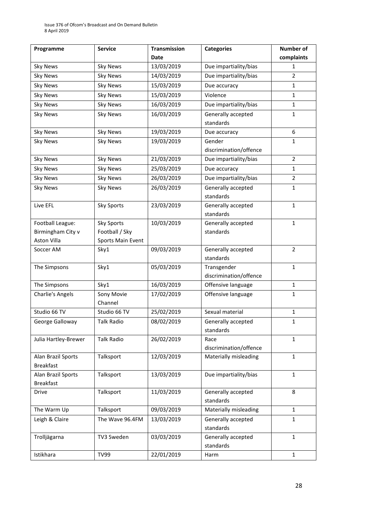| Programme            | <b>Service</b>        | <b>Transmission</b> | <b>Categories</b>      | Number of      |
|----------------------|-----------------------|---------------------|------------------------|----------------|
|                      |                       | <b>Date</b>         |                        | complaints     |
| <b>Sky News</b>      | <b>Sky News</b>       | 13/03/2019          | Due impartiality/bias  | 1              |
| <b>Sky News</b>      | <b>Sky News</b>       | 14/03/2019          | Due impartiality/bias  | $\overline{2}$ |
| <b>Sky News</b>      | <b>Sky News</b>       | 15/03/2019          | Due accuracy           | $\mathbf{1}$   |
| <b>Sky News</b>      | <b>Sky News</b>       | 15/03/2019          | Violence               | $\mathbf{1}$   |
| <b>Sky News</b>      | <b>Sky News</b>       | 16/03/2019          | Due impartiality/bias  | $\mathbf{1}$   |
| <b>Sky News</b>      | <b>Sky News</b>       | 16/03/2019          | Generally accepted     | 1              |
|                      |                       |                     | standards              |                |
| <b>Sky News</b>      | <b>Sky News</b>       | 19/03/2019          | Due accuracy           | 6              |
| <b>Sky News</b>      | <b>Sky News</b>       | 19/03/2019          | Gender                 | $\mathbf{1}$   |
|                      |                       |                     | discrimination/offence |                |
| <b>Sky News</b>      | <b>Sky News</b>       | 21/03/2019          | Due impartiality/bias  | $\overline{2}$ |
| <b>Sky News</b>      | <b>Sky News</b>       | 25/03/2019          | Due accuracy           | $\mathbf{1}$   |
| <b>Sky News</b>      | <b>Sky News</b>       | 26/03/2019          | Due impartiality/bias  | $\overline{2}$ |
| <b>Sky News</b>      | <b>Sky News</b>       | 26/03/2019          | Generally accepted     | $\mathbf{1}$   |
|                      |                       |                     | standards              |                |
| Live EFL             | <b>Sky Sports</b>     | 23/03/2019          | Generally accepted     | 1              |
|                      |                       |                     | standards              |                |
| Football League:     | <b>Sky Sports</b>     | 10/03/2019          | Generally accepted     | $\mathbf{1}$   |
| Birmingham City v    | Football / Sky        |                     | standards              |                |
| Aston Villa          | Sports Main Event     |                     |                        |                |
| Soccer AM            | Sky1                  | 09/03/2019          | Generally accepted     | $\overline{2}$ |
|                      |                       |                     | standards              |                |
| The Simpsons         | Sky1                  | 05/03/2019          | Transgender            | $\mathbf{1}$   |
|                      |                       |                     | discrimination/offence |                |
| The Simpsons         | Sky1                  | 16/03/2019          | Offensive language     | $\mathbf{1}$   |
| Charlie's Angels     | Sony Movie<br>Channel | 17/02/2019          | Offensive language     | 1              |
| Studio 66 TV         | Studio 66 TV          | 25/02/2019          | Sexual material        | 1              |
| George Galloway      | <b>Talk Radio</b>     | 08/02/2019          | Generally accepted     | $\mathbf 1$    |
|                      |                       |                     | standards              |                |
| Julia Hartley-Brewer | <b>Talk Radio</b>     | 26/02/2019          | Race                   | $\mathbf{1}$   |
|                      |                       |                     | discrimination/offence |                |
| Alan Brazil Sports   | Talksport             | 12/03/2019          | Materially misleading  | $\mathbf{1}$   |
| <b>Breakfast</b>     |                       |                     |                        |                |
| Alan Brazil Sports   | Talksport             | 13/03/2019          | Due impartiality/bias  | $\mathbf{1}$   |
| <b>Breakfast</b>     |                       |                     |                        |                |
| <b>Drive</b>         | Talksport             | 11/03/2019          | Generally accepted     | 8              |
|                      |                       |                     | standards              |                |
| The Warm Up          | Talksport             | 09/03/2019          | Materially misleading  | $\mathbf{1}$   |
| Leigh & Claire       | The Wave 96.4FM       | 13/03/2019          | Generally accepted     | 1              |
|                      |                       |                     | standards              |                |
| Trolljägarna         | TV3 Sweden            | 03/03/2019          | Generally accepted     | 1              |
|                      |                       |                     | standards              |                |
| Istikhara            | <b>TV99</b>           | 22/01/2019          | Harm                   | $\mathbf{1}$   |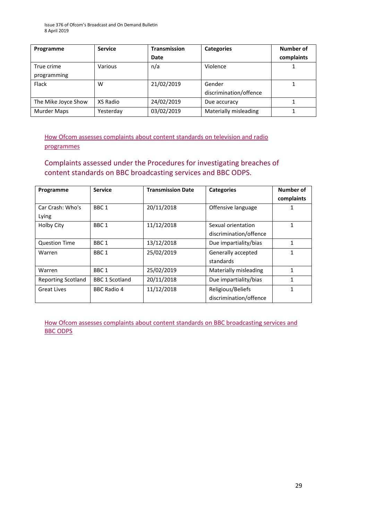| Programme           | <b>Service</b> | <b>Transmission</b> | <b>Categories</b>      | Number of  |
|---------------------|----------------|---------------------|------------------------|------------|
|                     |                | Date                |                        | complaints |
| True crime          | Various        | n/a                 | Violence               |            |
| programming         |                |                     |                        |            |
| Flack               | w              | 21/02/2019          | Gender                 |            |
|                     |                |                     | discrimination/offence |            |
| The Mike Joyce Show | XS Radio       | 24/02/2019          | Due accuracy           |            |
| Murder Maps         | Yesterday      | 03/02/2019          | Materially misleading  |            |

[How Ofcom assesses complaints about content standards on television and radio](https://www.ofcom.org.uk/__data/assets/pdf_file/0020/55109/breaches-content-standards.pdf)  [programmes](https://www.ofcom.org.uk/__data/assets/pdf_file/0020/55109/breaches-content-standards.pdf)

### Complaints assessed under the Procedures for investigating breaches of content standards on BBC broadcasting services and BBC ODPS.

| Programme                 | <b>Service</b>        | <b>Transmission Date</b> | <b>Categories</b>      | Number of  |
|---------------------------|-----------------------|--------------------------|------------------------|------------|
|                           |                       |                          |                        | complaints |
| Car Crash: Who's          | BBC <sub>1</sub>      | 20/11/2018               | Offensive language     |            |
| Lying                     |                       |                          |                        |            |
| <b>Holby City</b>         | BBC <sub>1</sub>      | 11/12/2018               | Sexual orientation     | 1          |
|                           |                       |                          | discrimination/offence |            |
| <b>Question Time</b>      | BBC <sub>1</sub>      | 13/12/2018               | Due impartiality/bias  | 1          |
| Warren                    | BBC <sub>1</sub>      | 25/02/2019               | Generally accepted     | 1          |
|                           |                       |                          | standards              |            |
| Warren                    | BBC <sub>1</sub>      | 25/02/2019               | Materially misleading  | 1          |
| <b>Reporting Scotland</b> | <b>BBC 1 Scotland</b> | 20/11/2018               | Due impartiality/bias  |            |
| <b>Great Lives</b>        | <b>BBC Radio 4</b>    | 11/12/2018               | Religious/Beliefs      | 1          |
|                           |                       |                          | discrimination/offence |            |

[How Ofcom assesses complaints about content standards](https://www.ofcom.org.uk/__data/assets/pdf_file/0002/100100/Procedures-for-investigating-breaches-of-content-standards-on-BBC-broadcasting-services-and-BBC-on-demand-programme-services.pdf) on BBC broadcasting services and [BBC ODPS](https://www.ofcom.org.uk/__data/assets/pdf_file/0002/100100/Procedures-for-investigating-breaches-of-content-standards-on-BBC-broadcasting-services-and-BBC-on-demand-programme-services.pdf)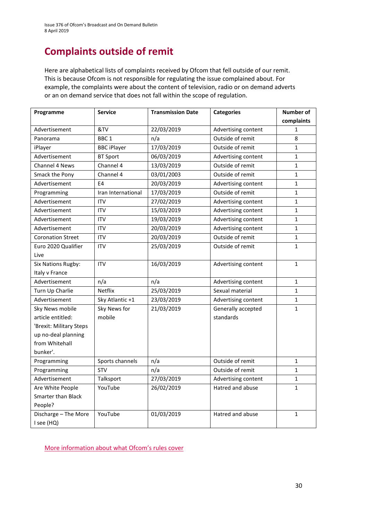# **Complaints outside of remit**

Here are alphabetical lists of complaints received by Ofcom that fell outside of our remit. This is because Ofcom is not responsible for regulating the issue complained about. For example, the complaints were about the content of television, radio or on demand adverts or an on demand service that does not fall within the scope of regulation.

| Programme                 | <b>Service</b>     | <b>Transmission Date</b> | <b>Categories</b>   | Number of    |
|---------------------------|--------------------|--------------------------|---------------------|--------------|
|                           |                    |                          |                     | complaints   |
| Advertisement             | &TV                | 22/03/2019               | Advertising content | 1            |
| Panorama                  | BBC <sub>1</sub>   | n/a                      | Outside of remit    | 8            |
| iPlayer                   | <b>BBC iPlayer</b> | 17/03/2019               | Outside of remit    | $\mathbf{1}$ |
| Advertisement             | <b>BT Sport</b>    | 06/03/2019               | Advertising content | $\mathbf{1}$ |
| Channel 4 News            | Channel 4          | 13/03/2019               | Outside of remit    | 1            |
| Smack the Pony            | Channel 4          | 03/01/2003               | Outside of remit    | 1            |
| Advertisement             | E4                 | 20/03/2019               | Advertising content | 1            |
| Programming               | Iran International | 17/03/2019               | Outside of remit    | $\mathbf{1}$ |
| Advertisement             | <b>ITV</b>         | 27/02/2019               | Advertising content | $\mathbf{1}$ |
| Advertisement             | <b>ITV</b>         | 15/03/2019               | Advertising content | $\mathbf{1}$ |
| Advertisement             | <b>ITV</b>         | 19/03/2019               | Advertising content | $\mathbf{1}$ |
| Advertisement             | <b>ITV</b>         | 20/03/2019               | Advertising content | $\mathbf{1}$ |
| <b>Coronation Street</b>  | <b>ITV</b>         | 20/03/2019               | Outside of remit    | 1            |
| Euro 2020 Qualifier       | <b>ITV</b>         | 25/03/2019               | Outside of remit    | $\mathbf{1}$ |
| Live                      |                    |                          |                     |              |
| <b>Six Nations Rugby:</b> | <b>ITV</b>         | 16/03/2019               | Advertising content | $\mathbf{1}$ |
| Italy v France            |                    |                          |                     |              |
| Advertisement             | n/a                | n/a                      | Advertising content | $\mathbf{1}$ |
| Turn Up Charlie           | Netflix            | 25/03/2019               | Sexual material     | $\mathbf 1$  |
| Advertisement             | Sky Atlantic +1    | 23/03/2019               | Advertising content | $\mathbf{1}$ |
| Sky News mobile           | Sky News for       | 21/03/2019               | Generally accepted  | $\mathbf 1$  |
| article entitled:         | mobile             |                          | standards           |              |
| 'Brexit: Military Steps   |                    |                          |                     |              |
| up no-deal planning       |                    |                          |                     |              |
| from Whitehall            |                    |                          |                     |              |
| bunker'.                  |                    |                          |                     |              |
| Programming               | Sports channels    | n/a                      | Outside of remit    | 1            |
| Programming               | <b>STV</b>         | n/a                      | Outside of remit    | $\mathbf{1}$ |
| Advertisement             | Talksport          | 27/03/2019               | Advertising content | 1            |
| Are White People          | YouTube            | 26/02/2019               | Hatred and abuse    | $\mathbf{1}$ |
| <b>Smarter than Black</b> |                    |                          |                     |              |
| People?                   |                    |                          |                     |              |
| Discharge - The More      | YouTube            | 01/03/2019               | Hatred and abuse    | $\mathbf{1}$ |
| I see (HQ)                |                    |                          |                     |              |

[More information about what Ofcom's rules cover](https://www.ofcom.org.uk/tv-radio-and-on-demand/how-to-report-a-complaint/what-does-ofcom-cover)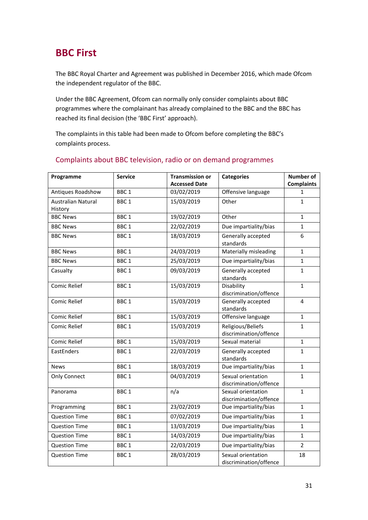# **BBC First**

The BBC Royal Charter and Agreement was published in December 2016, which made Ofcom the independent regulator of the BBC.

Under the BBC Agreement, Ofcom can normally only consider complaints about BBC programmes where the complainant has already complained to the BBC and the BBC has reached its final decision (the 'BBC First' approach).

The complaints in this table had been made to Ofcom before completing the BBC's complaints process.

| Programme                            | <b>Service</b>   | <b>Transmission or</b> | <b>Categories</b>                            | <b>Number of</b>  |
|--------------------------------------|------------------|------------------------|----------------------------------------------|-------------------|
|                                      |                  | <b>Accessed Date</b>   |                                              | <b>Complaints</b> |
| Antiques Roadshow                    | BBC <sub>1</sub> | 03/02/2019             | Offensive language                           | 1                 |
| <b>Australian Natural</b><br>History | BBC <sub>1</sub> | 15/03/2019             | Other                                        | $\mathbf{1}$      |
| <b>BBC News</b>                      | BBC <sub>1</sub> | 19/02/2019             | Other                                        | $\mathbf{1}$      |
| <b>BBC News</b>                      | BBC <sub>1</sub> | 22/02/2019             | Due impartiality/bias                        | $\mathbf{1}$      |
| <b>BBC News</b>                      | BBC <sub>1</sub> | 18/03/2019             | Generally accepted<br>standards              | 6                 |
| <b>BBC News</b>                      | BBC <sub>1</sub> | 24/03/2019             | Materially misleading                        | $\mathbf{1}$      |
| <b>BBC News</b>                      | BBC <sub>1</sub> | 25/03/2019             | Due impartiality/bias                        | $\mathbf{1}$      |
| Casualty                             | BBC <sub>1</sub> | 09/03/2019             | Generally accepted<br>standards              | $\mathbf{1}$      |
| <b>Comic Relief</b>                  | BBC <sub>1</sub> | 15/03/2019             | Disability<br>discrimination/offence         | $\mathbf{1}$      |
| Comic Relief                         | BBC <sub>1</sub> | 15/03/2019             | Generally accepted<br>standards              | $\overline{4}$    |
| Comic Relief                         | BBC <sub>1</sub> | 15/03/2019             | Offensive language<br>$\mathbf{1}$           |                   |
| Comic Relief                         | BBC <sub>1</sub> | 15/03/2019             | Religious/Beliefs<br>discrimination/offence  | $\mathbf{1}$      |
| <b>Comic Relief</b>                  | BBC <sub>1</sub> | 15/03/2019             | Sexual material                              | $\mathbf{1}$      |
| EastEnders                           | BBC <sub>1</sub> | 22/03/2019             | Generally accepted<br>standards              | $\mathbf{1}$      |
| <b>News</b>                          | BBC <sub>1</sub> | 18/03/2019             | Due impartiality/bias<br>$\mathbf{1}$        |                   |
| <b>Only Connect</b>                  | BBC <sub>1</sub> | 04/03/2019             | Sexual orientation<br>discrimination/offence | $\mathbf{1}$      |
| Panorama                             | BBC <sub>1</sub> | n/a                    | Sexual orientation<br>discrimination/offence | $\mathbf{1}$      |
| Programming                          | BBC <sub>1</sub> | 23/02/2019             | Due impartiality/bias                        | $\mathbf{1}$      |
| <b>Question Time</b>                 | BBC <sub>1</sub> | 07/02/2019             | Due impartiality/bias                        | $\mathbf{1}$      |
| <b>Question Time</b>                 | BBC <sub>1</sub> | 13/03/2019             | Due impartiality/bias                        | $\mathbf{1}$      |
| <b>Question Time</b>                 | BBC <sub>1</sub> | 14/03/2019             | Due impartiality/bias                        | $\mathbf{1}$      |
| <b>Question Time</b>                 | BBC <sub>1</sub> | 22/03/2019             | Due impartiality/bias                        | $\overline{2}$    |
| <b>Question Time</b>                 | BBC <sub>1</sub> | 28/03/2019             | Sexual orientation<br>discrimination/offence | 18                |

### Complaints about BBC television, radio or on demand programmes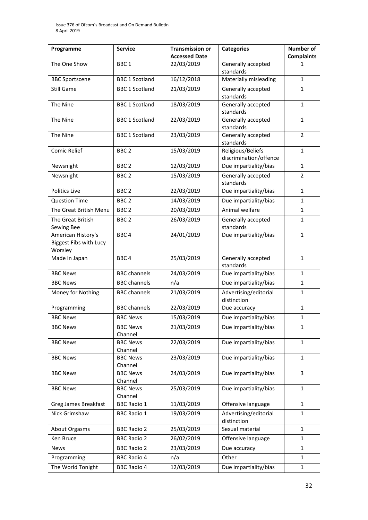| Programme                                                      | <b>Service</b>             | <b>Transmission or</b><br><b>Accessed Date</b> | <b>Categories</b>                           | <b>Number of</b><br><b>Complaints</b> |
|----------------------------------------------------------------|----------------------------|------------------------------------------------|---------------------------------------------|---------------------------------------|
| The One Show                                                   | BBC <sub>1</sub>           | 22/03/2019                                     | Generally accepted                          | 1                                     |
|                                                                |                            |                                                | standards                                   |                                       |
| <b>BBC Sportscene</b>                                          | <b>BBC 1 Scotland</b>      | 16/12/2018                                     | Materially misleading                       | $\mathbf{1}$                          |
| Still Game                                                     | <b>BBC 1 Scotland</b>      | 21/03/2019                                     | Generally accepted<br>standards             | 1                                     |
| The Nine                                                       | <b>BBC 1 Scotland</b>      | 18/03/2019                                     | Generally accepted<br>standards             | $\mathbf{1}$                          |
| The Nine                                                       | <b>BBC 1 Scotland</b>      | 22/03/2019                                     | Generally accepted<br>standards             | $\mathbf{1}$                          |
| The Nine                                                       | <b>BBC 1 Scotland</b>      | 23/03/2019                                     | Generally accepted<br>standards             | $\overline{2}$                        |
| Comic Relief                                                   | BBC <sub>2</sub>           | 15/03/2019                                     | Religious/Beliefs<br>discrimination/offence | $\mathbf{1}$                          |
| Newsnight                                                      | BBC <sub>2</sub>           | 12/03/2019                                     | Due impartiality/bias                       | $\mathbf{1}$                          |
| Newsnight                                                      | BBC <sub>2</sub>           | 15/03/2019                                     | Generally accepted<br>standards             | $\overline{2}$                        |
| Politics Live                                                  | BBC <sub>2</sub>           | 22/03/2019                                     | Due impartiality/bias                       | $\mathbf{1}$                          |
| <b>Question Time</b>                                           | BBC <sub>2</sub>           | 14/03/2019                                     | Due impartiality/bias                       | $\mathbf{1}$                          |
| The Great British Menu                                         | BBC <sub>2</sub>           | 20/03/2019                                     | Animal welfare                              | 1                                     |
| The Great British                                              | BBC <sub>2</sub>           | 26/03/2019                                     | Generally accepted                          | $\mathbf{1}$                          |
| Sewing Bee                                                     |                            |                                                | standards                                   |                                       |
| American History's<br><b>Biggest Fibs with Lucy</b><br>Worsley | BBC <sub>4</sub>           | 24/01/2019                                     | Due impartiality/bias                       | 1                                     |
| Made in Japan                                                  | BBC <sub>4</sub>           | 25/03/2019                                     | Generally accepted<br>standards             | $\mathbf{1}$                          |
| <b>BBC News</b>                                                | <b>BBC</b> channels        | 24/03/2019                                     | Due impartiality/bias                       | $\mathbf{1}$                          |
| <b>BBC News</b>                                                | <b>BBC</b> channels        | n/a                                            | Due impartiality/bias                       | 1                                     |
| Money for Nothing                                              | <b>BBC</b> channels        | 21/03/2019                                     | Advertising/editorial<br>distinction        | 1                                     |
| Programming                                                    | <b>BBC</b> channels        | 22/03/2019                                     | Due accuracy                                | $\mathbf{1}$                          |
| <b>BBC News</b>                                                | <b>BBC News</b>            | 15/03/2019                                     | Due impartiality/bias                       | $\mathbf{1}$                          |
| <b>BBC News</b>                                                | <b>BBC News</b>            | 21/03/2019                                     | Due impartiality/bias                       | $\mathbf{1}$                          |
|                                                                | Channel                    |                                                |                                             |                                       |
| <b>BBC News</b>                                                | <b>BBC News</b><br>Channel | 22/03/2019                                     | Due impartiality/bias                       | $\mathbf{1}$                          |
| <b>BBC News</b>                                                | <b>BBC News</b><br>Channel | 23/03/2019                                     | Due impartiality/bias                       | 1                                     |
| <b>BBC News</b>                                                | <b>BBC News</b><br>Channel | 24/03/2019                                     | Due impartiality/bias                       | 3                                     |
| <b>BBC News</b>                                                | <b>BBC News</b>            | 25/03/2019                                     | Due impartiality/bias                       | 1                                     |
|                                                                | Channel                    |                                                |                                             |                                       |
| Greg James Breakfast                                           | <b>BBC Radio 1</b>         | 11/03/2019                                     | Offensive language                          | 1                                     |
| Nick Grimshaw                                                  | <b>BBC Radio 1</b>         | 19/03/2019                                     | Advertising/editorial<br>distinction        | $\mathbf{1}$                          |
| About Orgasms                                                  | <b>BBC Radio 2</b>         | 25/03/2019                                     | Sexual material                             | $\mathbf{1}$                          |
| Ken Bruce                                                      | <b>BBC Radio 2</b>         | 26/02/2019                                     | Offensive language                          | 1                                     |
| News                                                           | <b>BBC Radio 2</b>         | 23/03/2019                                     | Due accuracy                                | 1                                     |
| Programming                                                    | <b>BBC Radio 4</b>         | n/a                                            | Other                                       | $\mathbf{1}$                          |
| The World Tonight                                              | <b>BBC Radio 4</b>         | 12/03/2019                                     | Due impartiality/bias                       | $\mathbf{1}$                          |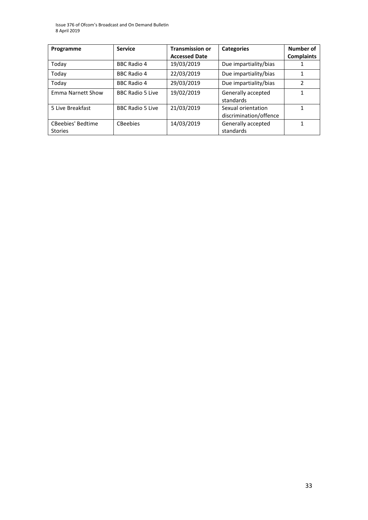Issue 376 of Ofcom's Broadcast and On Demand Bulletin 8 April 2019

| Programme                                  | <b>Service</b>          | <b>Transmission or</b> | <b>Categories</b>                            | Number of         |
|--------------------------------------------|-------------------------|------------------------|----------------------------------------------|-------------------|
|                                            |                         | <b>Accessed Date</b>   |                                              | <b>Complaints</b> |
| Today                                      | <b>BBC Radio 4</b>      | 19/03/2019             | Due impartiality/bias                        |                   |
| Today                                      | <b>BBC Radio 4</b>      | 22/03/2019             | Due impartiality/bias                        |                   |
| Today                                      | <b>BBC Radio 4</b>      | 29/03/2019             | Due impartiality/bias                        | $\mathcal{P}$     |
| Emma Narnett Show                          | <b>BBC Radio 5 Live</b> | 19/02/2019             | Generally accepted<br>standards              | 1                 |
| 5 Live Breakfast                           | <b>BBC Radio 5 Live</b> | 21/03/2019             | Sexual orientation<br>discrimination/offence | 1                 |
| <b>CBeebies' Bedtime</b><br><b>Stories</b> | <b>CBeebies</b>         | 14/03/2019             | Generally accepted<br>standards              |                   |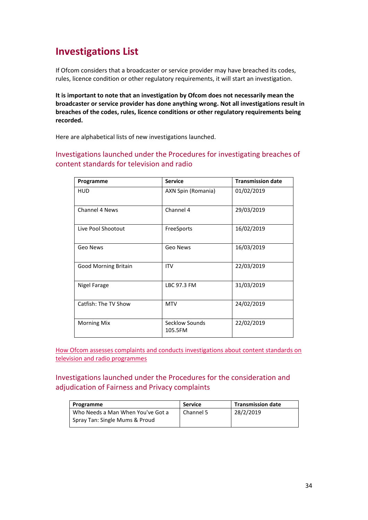# **Investigations List**

If Ofcom considers that a broadcaster or service provider may have breached its codes, rules, licence condition or other regulatory requirements, it will start an investigation.

**It is important to note that an investigation by Ofcom does not necessarily mean the broadcaster or service provider has done anything wrong. Not all investigations result in breaches of the codes, rules, licence conditions or other regulatory requirements being recorded.**

Here are alphabetical lists of new investigations launched.

Investigations launched under the Procedures for investigating breaches of content standards for television and radio

| Programme                   | <b>Service</b>            | <b>Transmission date</b> |
|-----------------------------|---------------------------|--------------------------|
| <b>HUD</b>                  | AXN Spin (Romania)        | 01/02/2019               |
| <b>Channel 4 News</b>       | Channel 4                 | 29/03/2019               |
| Live Pool Shootout          | FreeSports                | 16/02/2019               |
| Geo News                    | Geo News                  | 16/03/2019               |
| <b>Good Morning Britain</b> | <b>ITV</b>                | 22/03/2019               |
| Nigel Farage                | LBC 97.3 FM               | 31/03/2019               |
| Catfish: The TV Show        | <b>MTV</b>                | 24/02/2019               |
| <b>Morning Mix</b>          | Secklow Sounds<br>105.5FM | 22/02/2019               |

[How Ofcom assesses complaints and conducts investigations about content standards on](https://www.ofcom.org.uk/__data/assets/pdf_file/0020/55109/breaches-content-standards.pdf)  [television and radio programmes](https://www.ofcom.org.uk/__data/assets/pdf_file/0020/55109/breaches-content-standards.pdf)

Investigations launched under the Procedures for the consideration and adjudication of Fairness and Privacy complaints

| Programme                         | <b>Service</b> | <b>Transmission date</b> |
|-----------------------------------|----------------|--------------------------|
| Who Needs a Man When You've Got a | Channel 5      | 28/2/2019                |
| Spray Tan: Single Mums & Proud    |                |                          |